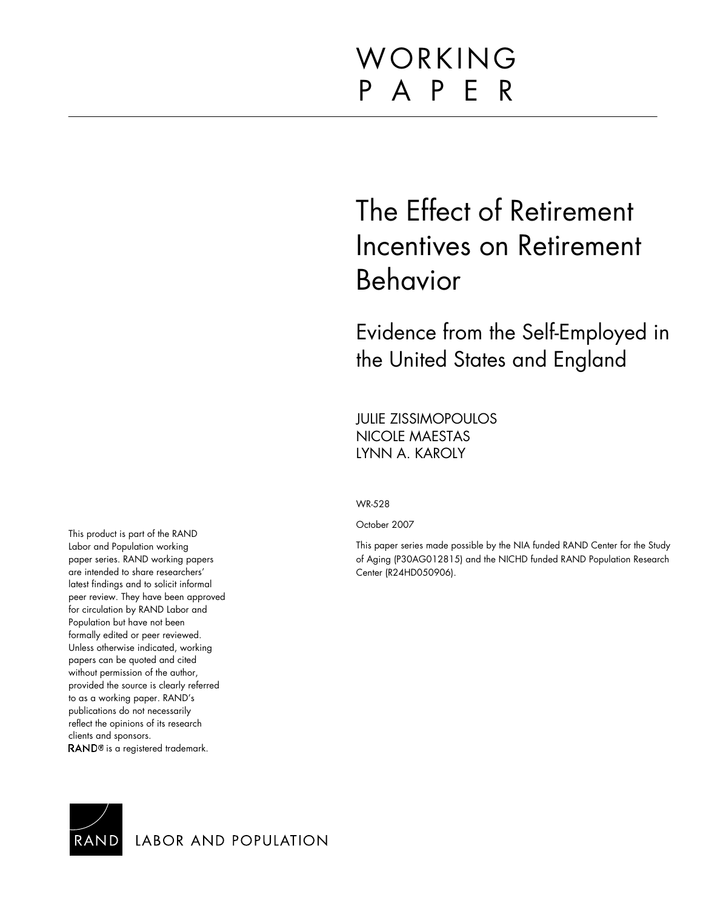# WORKING P A P E R

# The Effect of Retirement Incentives on Retirement Behavior

Evidence from the Self-Employed in the United States and England

JULIE ZISSIMOPOULOS NICOLE MAESTAS LYNN A. KAROLY

WR-528

October 2007

This paper series made possible by the NIA funded RAND Center for the Study of Aging (P30AG012815) and the NICHD funded RAND Population Research Center (R24HD050906).

This product is part of the RAND Labor and Population working paper series. RAND working papers are intended to share researchers' latest findings and to solicit informal peer review. They have been approved for circulation by RAND Labor and Population but have not been formally edited or peer reviewed. Unless otherwise indicated, working papers can be quoted and cited without permission of the author, provided the source is clearly referred to as a working paper. RAND's publications do not necessarily reflect the opinions of its research clients and sponsors. RAND<sup>®</sup> is a registered trademark.



LABOR AND POPULATION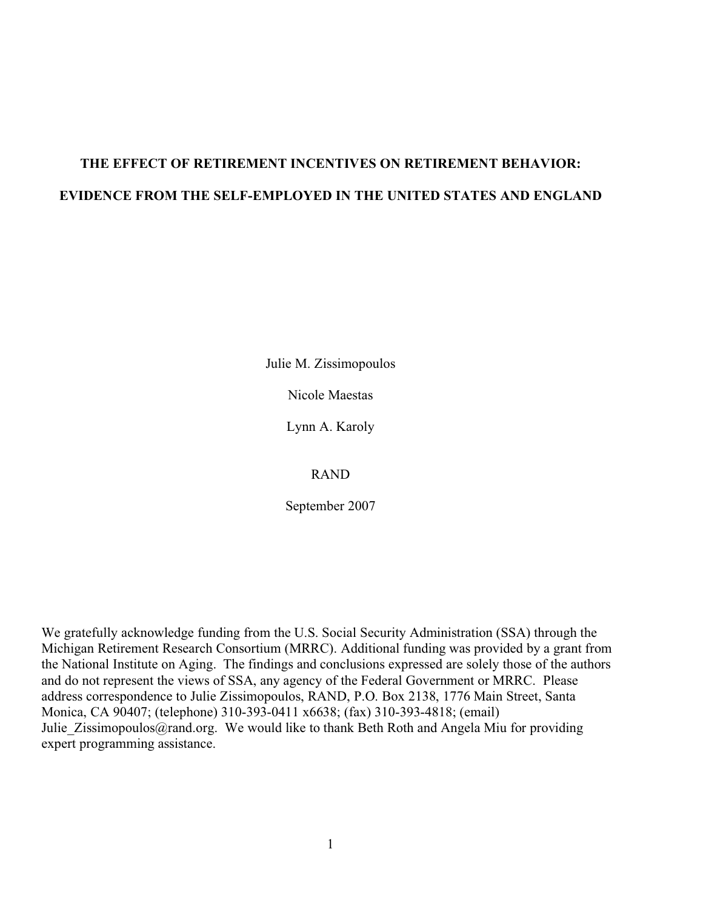# **THE EFFECT OF RETIREMENT INCENTIVES ON RETIREMENT BEHAVIOR: EVIDENCE FROM THE SELF-EMPLOYED IN THE UNITED STATES AND ENGLAND**

Julie M. Zissimopoulos

Nicole Maestas

Lynn A. Karoly

RAND

September 2007

We gratefully acknowledge funding from the U.S. Social Security Administration (SSA) through the Michigan Retirement Research Consortium (MRRC). Additional funding was provided by a grant from the National Institute on Aging. The findings and conclusions expressed are solely those of the authors and do not represent the views of SSA, any agency of the Federal Government or MRRC. Please address correspondence to Julie Zissimopoulos, RAND, P.O. Box 2138, 1776 Main Street, Santa Monica, CA 90407; (telephone) 310-393-0411 x6638; (fax) 310-393-4818; (email) Julie Zissimopoulos@rand.org. We would like to thank Beth Roth and Angela Miu for providing expert programming assistance.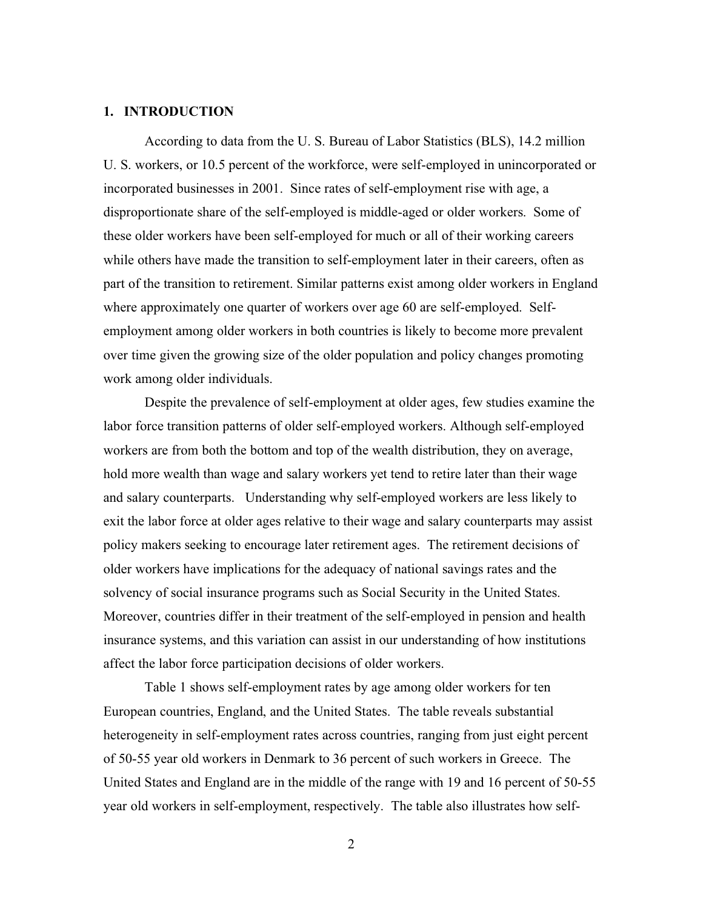#### **1. INTRODUCTION**

According to data from the U. S. Bureau of Labor Statistics (BLS), 14.2 million U. S. workers, or 10.5 percent of the workforce, were self-employed in unincorporated or incorporated businesses in 2001. Since rates of self-employment rise with age, a disproportionate share of the self-employed is middle-aged or older workers. Some of these older workers have been self-employed for much or all of their working careers while others have made the transition to self-employment later in their careers, often as part of the transition to retirement. Similar patterns exist among older workers in England where approximately one quarter of workers over age 60 are self-employed. Selfemployment among older workers in both countries is likely to become more prevalent over time given the growing size of the older population and policy changes promoting work among older individuals.

Despite the prevalence of self-employment at older ages, few studies examine the labor force transition patterns of older self-employed workers. Although self-employed workers are from both the bottom and top of the wealth distribution, they on average, hold more wealth than wage and salary workers yet tend to retire later than their wage and salary counterparts. Understanding why self-employed workers are less likely to exit the labor force at older ages relative to their wage and salary counterparts may assist policy makers seeking to encourage later retirement ages. The retirement decisions of older workers have implications for the adequacy of national savings rates and the solvency of social insurance programs such as Social Security in the United States. Moreover, countries differ in their treatment of the self-employed in pension and health insurance systems, and this variation can assist in our understanding of how institutions affect the labor force participation decisions of older workers.

Table 1 shows self-employment rates by age among older workers for ten European countries, England, and the United States. The table reveals substantial heterogeneity in self-employment rates across countries, ranging from just eight percent of 50-55 year old workers in Denmark to 36 percent of such workers in Greece. The United States and England are in the middle of the range with 19 and 16 percent of 50-55 year old workers in self-employment, respectively. The table also illustrates how self-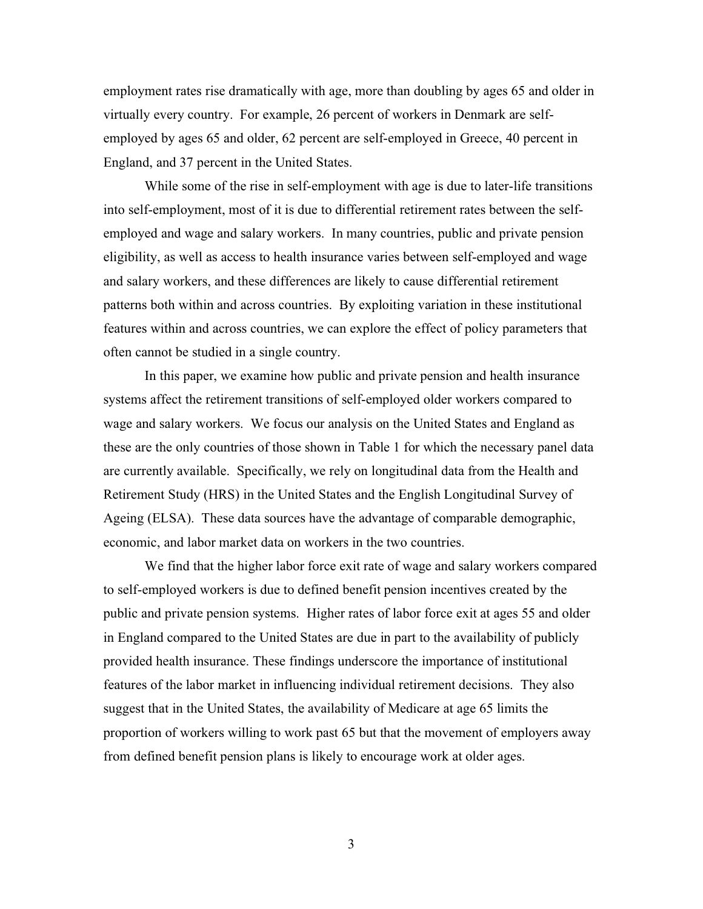employment rates rise dramatically with age, more than doubling by ages 65 and older in virtually every country. For example, 26 percent of workers in Denmark are selfemployed by ages 65 and older, 62 percent are self-employed in Greece, 40 percent in England, and 37 percent in the United States.

While some of the rise in self-employment with age is due to later-life transitions into self-employment, most of it is due to differential retirement rates between the selfemployed and wage and salary workers. In many countries, public and private pension eligibility, as well as access to health insurance varies between self-employed and wage and salary workers, and these differences are likely to cause differential retirement patterns both within and across countries. By exploiting variation in these institutional features within and across countries, we can explore the effect of policy parameters that often cannot be studied in a single country.

In this paper, we examine how public and private pension and health insurance systems affect the retirement transitions of self-employed older workers compared to wage and salary workers. We focus our analysis on the United States and England as these are the only countries of those shown in Table 1 for which the necessary panel data are currently available. Specifically, we rely on longitudinal data from the Health and Retirement Study (HRS) in the United States and the English Longitudinal Survey of Ageing (ELSA). These data sources have the advantage of comparable demographic, economic, and labor market data on workers in the two countries.

We find that the higher labor force exit rate of wage and salary workers compared to self-employed workers is due to defined benefit pension incentives created by the public and private pension systems. Higher rates of labor force exit at ages 55 and older in England compared to the United States are due in part to the availability of publicly provided health insurance. These findings underscore the importance of institutional features of the labor market in influencing individual retirement decisions. They also suggest that in the United States, the availability of Medicare at age 65 limits the proportion of workers willing to work past 65 but that the movement of employers away from defined benefit pension plans is likely to encourage work at older ages.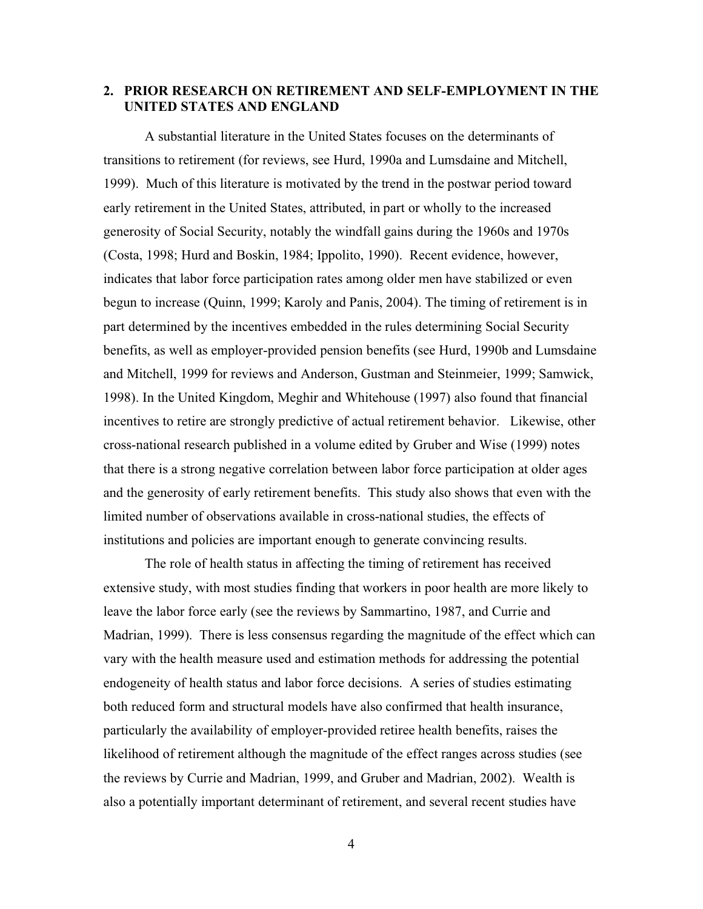#### **2. PRIOR RESEARCH ON RETIREMENT AND SELF-EMPLOYMENT IN THE UNITED STATES AND ENGLAND**

A substantial literature in the United States focuses on the determinants of transitions to retirement (for reviews, see Hurd, 1990a and Lumsdaine and Mitchell, 1999). Much of this literature is motivated by the trend in the postwar period toward early retirement in the United States, attributed, in part or wholly to the increased generosity of Social Security, notably the windfall gains during the 1960s and 1970s (Costa, 1998; Hurd and Boskin, 1984; Ippolito, 1990). Recent evidence, however, indicates that labor force participation rates among older men have stabilized or even begun to increase (Quinn, 1999; Karoly and Panis, 2004). The timing of retirement is in part determined by the incentives embedded in the rules determining Social Security benefits, as well as employer-provided pension benefits (see Hurd, 1990b and Lumsdaine and Mitchell, 1999 for reviews and Anderson, Gustman and Steinmeier, 1999; Samwick, 1998). In the United Kingdom, Meghir and Whitehouse (1997) also found that financial incentives to retire are strongly predictive of actual retirement behavior. Likewise, other cross-national research published in a volume edited by Gruber and Wise (1999) notes that there is a strong negative correlation between labor force participation at older ages and the generosity of early retirement benefits. This study also shows that even with the limited number of observations available in cross-national studies, the effects of institutions and policies are important enough to generate convincing results.

The role of health status in affecting the timing of retirement has received extensive study, with most studies finding that workers in poor health are more likely to leave the labor force early (see the reviews by Sammartino, 1987, and Currie and Madrian, 1999). There is less consensus regarding the magnitude of the effect which can vary with the health measure used and estimation methods for addressing the potential endogeneity of health status and labor force decisions. A series of studies estimating both reduced form and structural models have also confirmed that health insurance, particularly the availability of employer-provided retiree health benefits, raises the likelihood of retirement although the magnitude of the effect ranges across studies (see the reviews by Currie and Madrian, 1999, and Gruber and Madrian, 2002). Wealth is also a potentially important determinant of retirement, and several recent studies have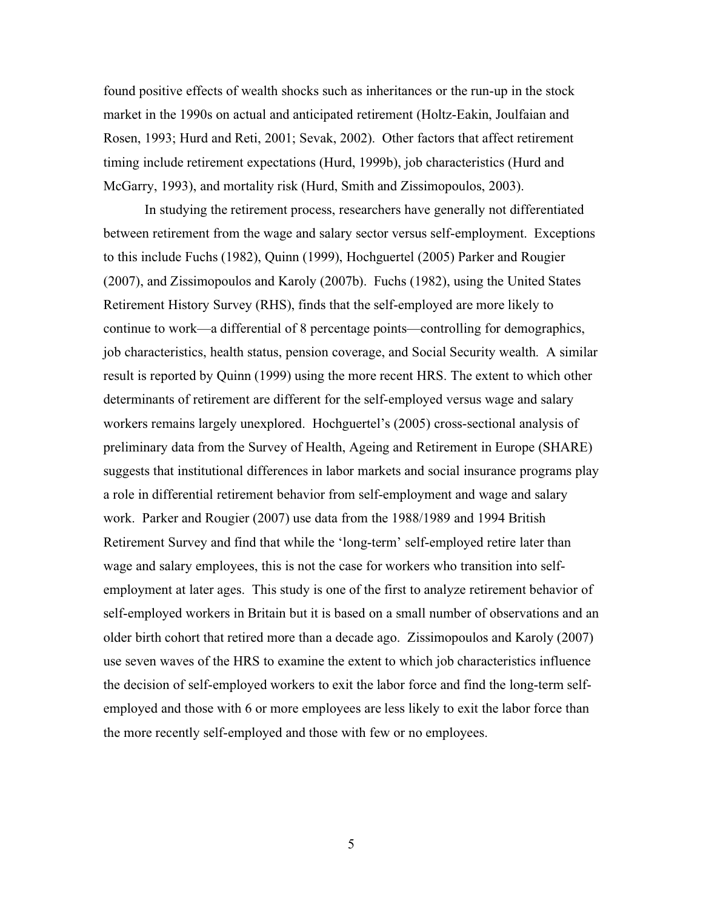found positive effects of wealth shocks such as inheritances or the run-up in the stock market in the 1990s on actual and anticipated retirement (Holtz-Eakin, Joulfaian and Rosen, 1993; Hurd and Reti, 2001; Sevak, 2002). Other factors that affect retirement timing include retirement expectations (Hurd, 1999b), job characteristics (Hurd and McGarry, 1993), and mortality risk (Hurd, Smith and Zissimopoulos, 2003).

In studying the retirement process, researchers have generally not differentiated between retirement from the wage and salary sector versus self-employment. Exceptions to this include Fuchs (1982), Quinn (1999), Hochguertel (2005) Parker and Rougier (2007), and Zissimopoulos and Karoly (2007b). Fuchs (1982), using the United States Retirement History Survey (RHS), finds that the self-employed are more likely to continue to work—a differential of 8 percentage points—controlling for demographics, job characteristics, health status, pension coverage, and Social Security wealth. A similar result is reported by Quinn (1999) using the more recent HRS. The extent to which other determinants of retirement are different for the self-employed versus wage and salary workers remains largely unexplored. Hochguertel's (2005) cross-sectional analysis of preliminary data from the Survey of Health, Ageing and Retirement in Europe (SHARE) suggests that institutional differences in labor markets and social insurance programs play a role in differential retirement behavior from self-employment and wage and salary work. Parker and Rougier (2007) use data from the 1988/1989 and 1994 British Retirement Survey and find that while the 'long-term' self-employed retire later than wage and salary employees, this is not the case for workers who transition into selfemployment at later ages. This study is one of the first to analyze retirement behavior of self-employed workers in Britain but it is based on a small number of observations and an older birth cohort that retired more than a decade ago. Zissimopoulos and Karoly (2007) use seven waves of the HRS to examine the extent to which job characteristics influence the decision of self-employed workers to exit the labor force and find the long-term selfemployed and those with 6 or more employees are less likely to exit the labor force than the more recently self-employed and those with few or no employees.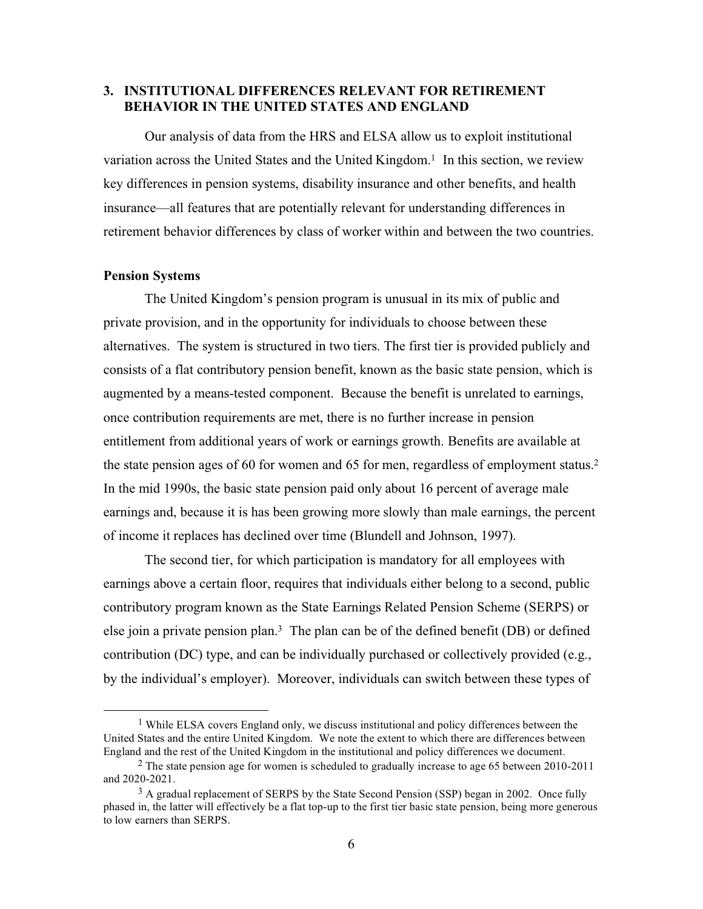#### **3. INSTITUTIONAL DIFFERENCES RELEVANT FOR RETIREMENT BEHAVIOR IN THE UNITED STATES AND ENGLAND**

Our analysis of data from the HRS and ELSA allow us to exploit institutional variation across the United States and the United Kingdom.1 In this section, we review key differences in pension systems, disability insurance and other benefits, and health insurance—all features that are potentially relevant for understanding differences in retirement behavior differences by class of worker within and between the two countries.

#### **Pension Systems**

The United Kingdom's pension program is unusual in its mix of public and private provision, and in the opportunity for individuals to choose between these alternatives. The system is structured in two tiers. The first tier is provided publicly and consists of a flat contributory pension benefit, known as the basic state pension, which is augmented by a means-tested component. Because the benefit is unrelated to earnings, once contribution requirements are met, there is no further increase in pension entitlement from additional years of work or earnings growth. Benefits are available at the state pension ages of 60 for women and 65 for men, regardless of employment status.2 In the mid 1990s, the basic state pension paid only about 16 percent of average male earnings and, because it is has been growing more slowly than male earnings, the percent of income it replaces has declined over time (Blundell and Johnson, 1997).

The second tier, for which participation is mandatory for all employees with earnings above a certain floor, requires that individuals either belong to a second, public contributory program known as the State Earnings Related Pension Scheme (SERPS) or else join a private pension plan.3 The plan can be of the defined benefit (DB) or defined contribution (DC) type, and can be individually purchased or collectively provided (e.g., by the individual's employer). Moreover, individuals can switch between these types of

<sup>&</sup>lt;sup>1</sup> While ELSA covers England only, we discuss institutional and policy differences between the United States and the entire United Kingdom. We note the extent to which there are differences between England and the rest of the United Kingdom in the institutional and policy differences we document.

<sup>&</sup>lt;sup>2</sup> The state pension age for women is scheduled to gradually increase to age 65 between  $2010$ - $2011$ and 2020-2021.

<sup>&</sup>lt;sup>3</sup> A gradual replacement of SERPS by the State Second Pension (SSP) began in 2002. Once fully phased in, the latter will effectively be a flat top-up to the first tier basic state pension, being more generous to low earners than SERPS.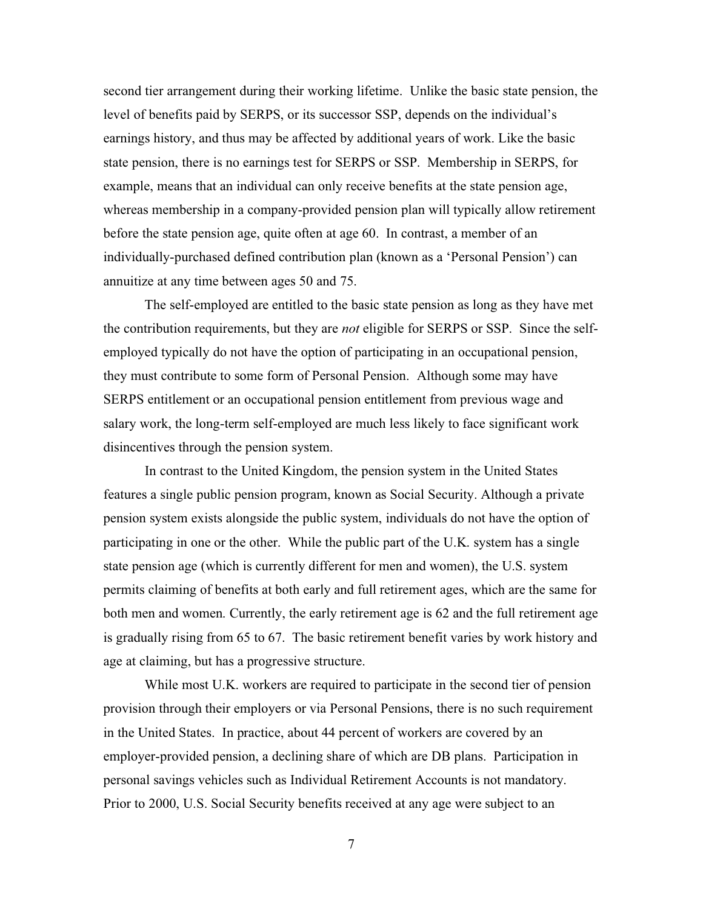second tier arrangement during their working lifetime. Unlike the basic state pension, the level of benefits paid by SERPS, or its successor SSP, depends on the individual's earnings history, and thus may be affected by additional years of work. Like the basic state pension, there is no earnings test for SERPS or SSP. Membership in SERPS, for example, means that an individual can only receive benefits at the state pension age, whereas membership in a company-provided pension plan will typically allow retirement before the state pension age, quite often at age 60. In contrast, a member of an individually-purchased defined contribution plan (known as a 'Personal Pension') can annuitize at any time between ages 50 and 75.

The self-employed are entitled to the basic state pension as long as they have met the contribution requirements, but they are *not* eligible for SERPS or SSP. Since the selfemployed typically do not have the option of participating in an occupational pension, they must contribute to some form of Personal Pension. Although some may have SERPS entitlement or an occupational pension entitlement from previous wage and salary work, the long-term self-employed are much less likely to face significant work disincentives through the pension system.

In contrast to the United Kingdom, the pension system in the United States features a single public pension program, known as Social Security. Although a private pension system exists alongside the public system, individuals do not have the option of participating in one or the other. While the public part of the U.K. system has a single state pension age (which is currently different for men and women), the U.S. system permits claiming of benefits at both early and full retirement ages, which are the same for both men and women. Currently, the early retirement age is 62 and the full retirement age is gradually rising from 65 to 67. The basic retirement benefit varies by work history and age at claiming, but has a progressive structure.

While most U.K. workers are required to participate in the second tier of pension provision through their employers or via Personal Pensions, there is no such requirement in the United States. In practice, about 44 percent of workers are covered by an employer-provided pension, a declining share of which are DB plans. Participation in personal savings vehicles such as Individual Retirement Accounts is not mandatory. Prior to 2000, U.S. Social Security benefits received at any age were subject to an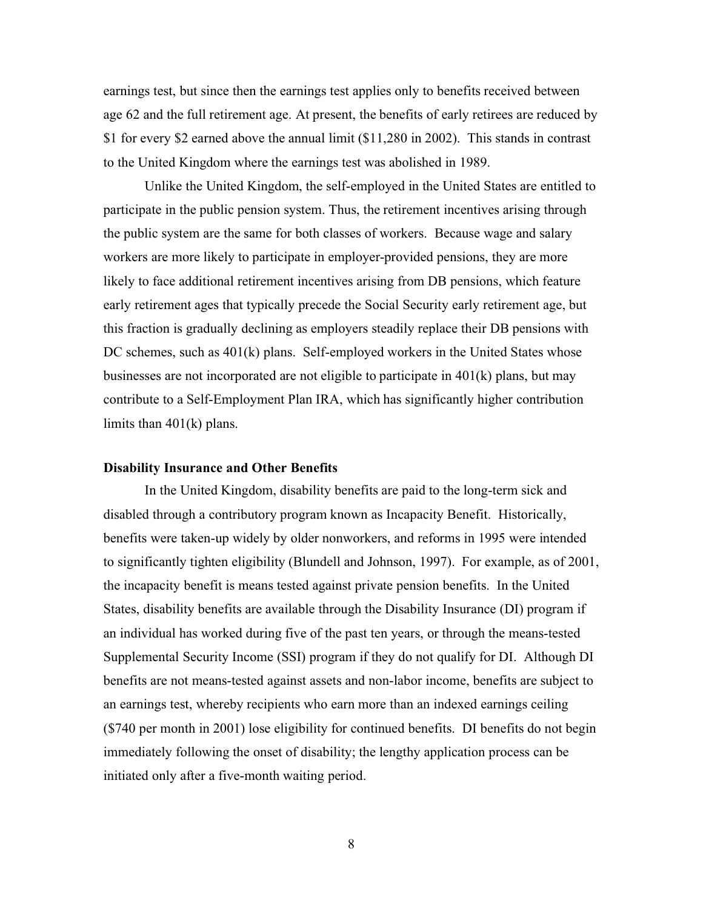earnings test, but since then the earnings test applies only to benefits received between age 62 and the full retirement age. At present, the benefits of early retirees are reduced by \$1 for every \$2 earned above the annual limit (\$11,280 in 2002). This stands in contrast to the United Kingdom where the earnings test was abolished in 1989.

Unlike the United Kingdom, the self-employed in the United States are entitled to participate in the public pension system. Thus, the retirement incentives arising through the public system are the same for both classes of workers. Because wage and salary workers are more likely to participate in employer-provided pensions, they are more likely to face additional retirement incentives arising from DB pensions, which feature early retirement ages that typically precede the Social Security early retirement age, but this fraction is gradually declining as employers steadily replace their DB pensions with DC schemes, such as  $401(k)$  plans. Self-employed workers in the United States whose businesses are not incorporated are not eligible to participate in 401(k) plans, but may contribute to a Self-Employment Plan IRA, which has significantly higher contribution limits than 401(k) plans.

#### **Disability Insurance and Other Benefits**

In the United Kingdom, disability benefits are paid to the long-term sick and disabled through a contributory program known as Incapacity Benefit. Historically, benefits were taken-up widely by older nonworkers, and reforms in 1995 were intended to significantly tighten eligibility (Blundell and Johnson, 1997). For example, as of 2001, the incapacity benefit is means tested against private pension benefits. In the United States, disability benefits are available through the Disability Insurance (DI) program if an individual has worked during five of the past ten years, or through the means-tested Supplemental Security Income (SSI) program if they do not qualify for DI. Although DI benefits are not means-tested against assets and non-labor income, benefits are subject to an earnings test, whereby recipients who earn more than an indexed earnings ceiling (\$740 per month in 2001) lose eligibility for continued benefits. DI benefits do not begin immediately following the onset of disability; the lengthy application process can be initiated only after a five-month waiting period.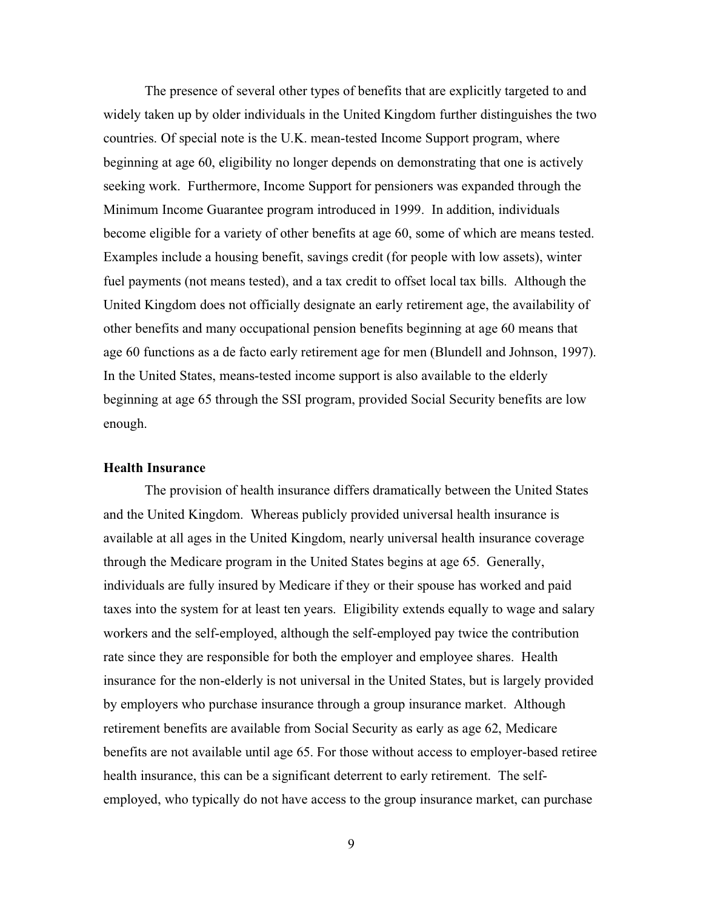The presence of several other types of benefits that are explicitly targeted to and widely taken up by older individuals in the United Kingdom further distinguishes the two countries. Of special note is the U.K. mean-tested Income Support program, where beginning at age 60, eligibility no longer depends on demonstrating that one is actively seeking work. Furthermore, Income Support for pensioners was expanded through the Minimum Income Guarantee program introduced in 1999. In addition, individuals become eligible for a variety of other benefits at age 60, some of which are means tested. Examples include a housing benefit, savings credit (for people with low assets), winter fuel payments (not means tested), and a tax credit to offset local tax bills. Although the United Kingdom does not officially designate an early retirement age, the availability of other benefits and many occupational pension benefits beginning at age 60 means that age 60 functions as a de facto early retirement age for men (Blundell and Johnson, 1997). In the United States, means-tested income support is also available to the elderly beginning at age 65 through the SSI program, provided Social Security benefits are low enough.

#### **Health Insurance**

The provision of health insurance differs dramatically between the United States and the United Kingdom. Whereas publicly provided universal health insurance is available at all ages in the United Kingdom, nearly universal health insurance coverage through the Medicare program in the United States begins at age 65. Generally, individuals are fully insured by Medicare if they or their spouse has worked and paid taxes into the system for at least ten years. Eligibility extends equally to wage and salary workers and the self-employed, although the self-employed pay twice the contribution rate since they are responsible for both the employer and employee shares. Health insurance for the non-elderly is not universal in the United States, but is largely provided by employers who purchase insurance through a group insurance market. Although retirement benefits are available from Social Security as early as age 62, Medicare benefits are not available until age 65. For those without access to employer-based retiree health insurance, this can be a significant deterrent to early retirement. The selfemployed, who typically do not have access to the group insurance market, can purchase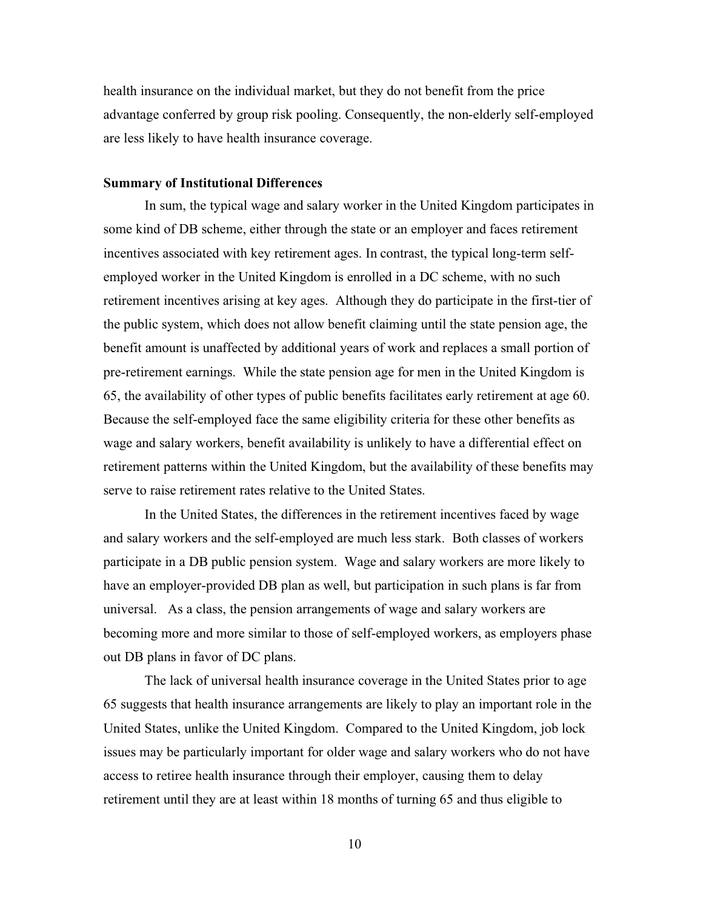health insurance on the individual market, but they do not benefit from the price advantage conferred by group risk pooling. Consequently, the non-elderly self-employed are less likely to have health insurance coverage.

#### **Summary of Institutional Differences**

In sum, the typical wage and salary worker in the United Kingdom participates in some kind of DB scheme, either through the state or an employer and faces retirement incentives associated with key retirement ages. In contrast, the typical long-term selfemployed worker in the United Kingdom is enrolled in a DC scheme, with no such retirement incentives arising at key ages. Although they do participate in the first-tier of the public system, which does not allow benefit claiming until the state pension age, the benefit amount is unaffected by additional years of work and replaces a small portion of pre-retirement earnings. While the state pension age for men in the United Kingdom is 65, the availability of other types of public benefits facilitates early retirement at age 60. Because the self-employed face the same eligibility criteria for these other benefits as wage and salary workers, benefit availability is unlikely to have a differential effect on retirement patterns within the United Kingdom, but the availability of these benefits may serve to raise retirement rates relative to the United States.

In the United States, the differences in the retirement incentives faced by wage and salary workers and the self-employed are much less stark. Both classes of workers participate in a DB public pension system. Wage and salary workers are more likely to have an employer-provided DB plan as well, but participation in such plans is far from universal. As a class, the pension arrangements of wage and salary workers are becoming more and more similar to those of self-employed workers, as employers phase out DB plans in favor of DC plans.

The lack of universal health insurance coverage in the United States prior to age 65 suggests that health insurance arrangements are likely to play an important role in the United States, unlike the United Kingdom. Compared to the United Kingdom, job lock issues may be particularly important for older wage and salary workers who do not have access to retiree health insurance through their employer, causing them to delay retirement until they are at least within 18 months of turning 65 and thus eligible to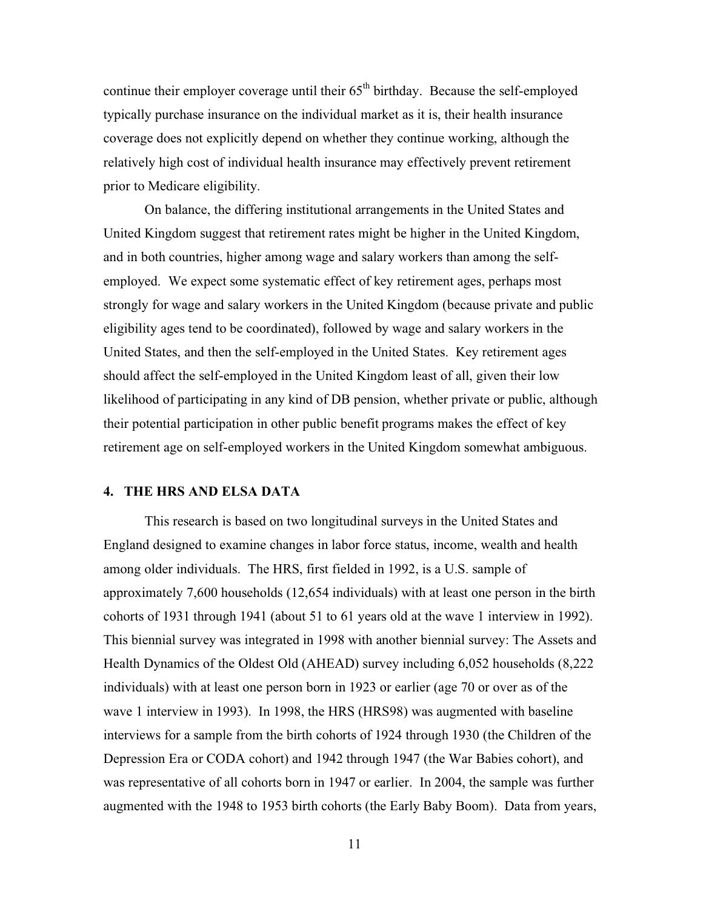continue their employer coverage until their  $65<sup>th</sup>$  birthday. Because the self-employed typically purchase insurance on the individual market as it is, their health insurance coverage does not explicitly depend on whether they continue working, although the relatively high cost of individual health insurance may effectively prevent retirement prior to Medicare eligibility.

On balance, the differing institutional arrangements in the United States and United Kingdom suggest that retirement rates might be higher in the United Kingdom, and in both countries, higher among wage and salary workers than among the selfemployed. We expect some systematic effect of key retirement ages, perhaps most strongly for wage and salary workers in the United Kingdom (because private and public eligibility ages tend to be coordinated), followed by wage and salary workers in the United States, and then the self-employed in the United States. Key retirement ages should affect the self-employed in the United Kingdom least of all, given their low likelihood of participating in any kind of DB pension, whether private or public, although their potential participation in other public benefit programs makes the effect of key retirement age on self-employed workers in the United Kingdom somewhat ambiguous.

#### **4. THE HRS AND ELSA DATA**

This research is based on two longitudinal surveys in the United States and England designed to examine changes in labor force status, income, wealth and health among older individuals. The HRS, first fielded in 1992, is a U.S. sample of approximately 7,600 households (12,654 individuals) with at least one person in the birth cohorts of 1931 through 1941 (about 51 to 61 years old at the wave 1 interview in 1992). This biennial survey was integrated in 1998 with another biennial survey: The Assets and Health Dynamics of the Oldest Old (AHEAD) survey including 6,052 households (8,222 individuals) with at least one person born in 1923 or earlier (age 70 or over as of the wave 1 interview in 1993). In 1998, the HRS (HRS98) was augmented with baseline interviews for a sample from the birth cohorts of 1924 through 1930 (the Children of the Depression Era or CODA cohort) and 1942 through 1947 (the War Babies cohort), and was representative of all cohorts born in 1947 or earlier. In 2004, the sample was further augmented with the 1948 to 1953 birth cohorts (the Early Baby Boom). Data from years,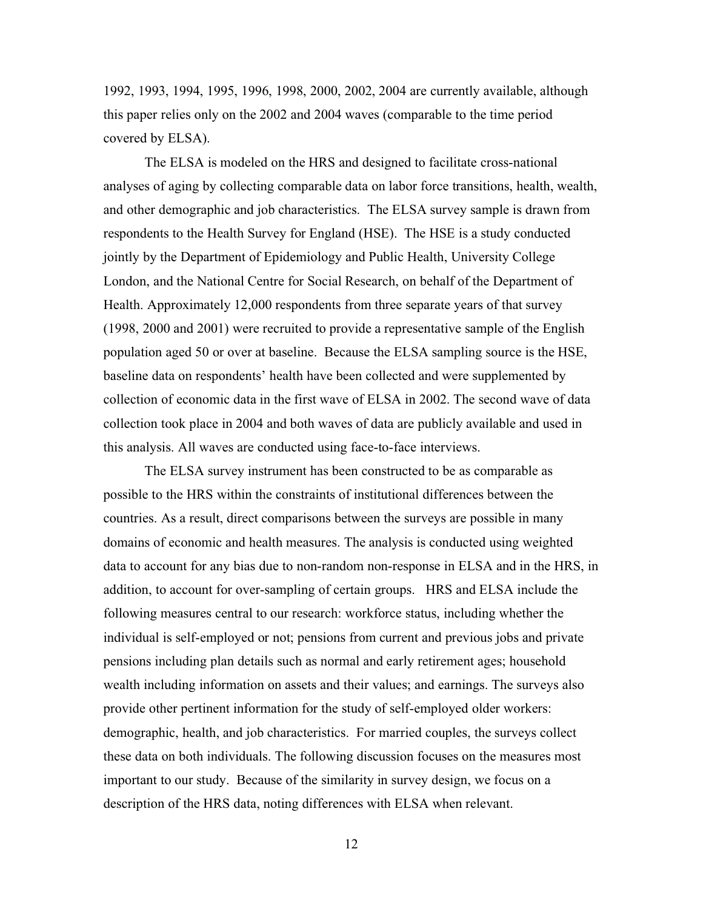1992, 1993, 1994, 1995, 1996, 1998, 2000, 2002, 2004 are currently available, although this paper relies only on the 2002 and 2004 waves (comparable to the time period covered by ELSA).

The ELSA is modeled on the HRS and designed to facilitate cross-national analyses of aging by collecting comparable data on labor force transitions, health, wealth, and other demographic and job characteristics. The ELSA survey sample is drawn from respondents to the Health Survey for England (HSE). The HSE is a study conducted jointly by the Department of Epidemiology and Public Health, University College London, and the National Centre for Social Research, on behalf of the Department of Health. Approximately 12,000 respondents from three separate years of that survey (1998, 2000 and 2001) were recruited to provide a representative sample of the English population aged 50 or over at baseline. Because the ELSA sampling source is the HSE, baseline data on respondents' health have been collected and were supplemented by collection of economic data in the first wave of ELSA in 2002. The second wave of data collection took place in 2004 and both waves of data are publicly available and used in this analysis. All waves are conducted using face-to-face interviews.

The ELSA survey instrument has been constructed to be as comparable as possible to the HRS within the constraints of institutional differences between the countries. As a result, direct comparisons between the surveys are possible in many domains of economic and health measures. The analysis is conducted using weighted data to account for any bias due to non-random non-response in ELSA and in the HRS, in addition, to account for over-sampling of certain groups. HRS and ELSA include the following measures central to our research: workforce status, including whether the individual is self-employed or not; pensions from current and previous jobs and private pensions including plan details such as normal and early retirement ages; household wealth including information on assets and their values; and earnings. The surveys also provide other pertinent information for the study of self-employed older workers: demographic, health, and job characteristics. For married couples, the surveys collect these data on both individuals. The following discussion focuses on the measures most important to our study. Because of the similarity in survey design, we focus on a description of the HRS data, noting differences with ELSA when relevant.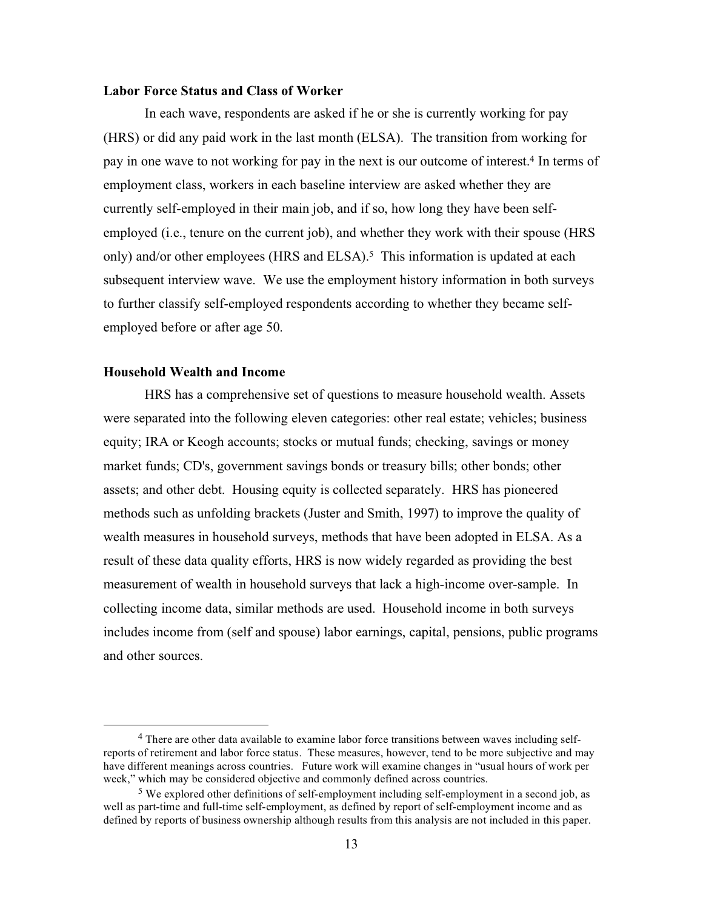#### **Labor Force Status and Class of Worker**

In each wave, respondents are asked if he or she is currently working for pay (HRS) or did any paid work in the last month (ELSA). The transition from working for pay in one wave to not working for pay in the next is our outcome of interest.4 In terms of employment class, workers in each baseline interview are asked whether they are currently self-employed in their main job, and if so, how long they have been selfemployed (i.e., tenure on the current job), and whether they work with their spouse (HRS only) and/or other employees (HRS and ELSA).<sup>5</sup> This information is updated at each subsequent interview wave. We use the employment history information in both surveys to further classify self-employed respondents according to whether they became selfemployed before or after age 50.

#### **Household Wealth and Income**

HRS has a comprehensive set of questions to measure household wealth. Assets were separated into the following eleven categories: other real estate; vehicles; business equity; IRA or Keogh accounts; stocks or mutual funds; checking, savings or money market funds; CD's, government savings bonds or treasury bills; other bonds; other assets; and other debt. Housing equity is collected separately. HRS has pioneered methods such as unfolding brackets (Juster and Smith, 1997) to improve the quality of wealth measures in household surveys, methods that have been adopted in ELSA. As a result of these data quality efforts, HRS is now widely regarded as providing the best measurement of wealth in household surveys that lack a high-income over-sample. In collecting income data, similar methods are used. Household income in both surveys includes income from (self and spouse) labor earnings, capital, pensions, public programs and other sources.

<sup>4</sup> There are other data available to examine labor force transitions between waves including selfreports of retirement and labor force status. These measures, however, tend to be more subjective and may have different meanings across countries. Future work will examine changes in "usual hours of work per week," which may be considered objective and commonly defined across countries.

<sup>5</sup> We explored other definitions of self-employment including self-employment in a second job, as well as part-time and full-time self-employment, as defined by report of self-employment income and as defined by reports of business ownership although results from this analysis are not included in this paper.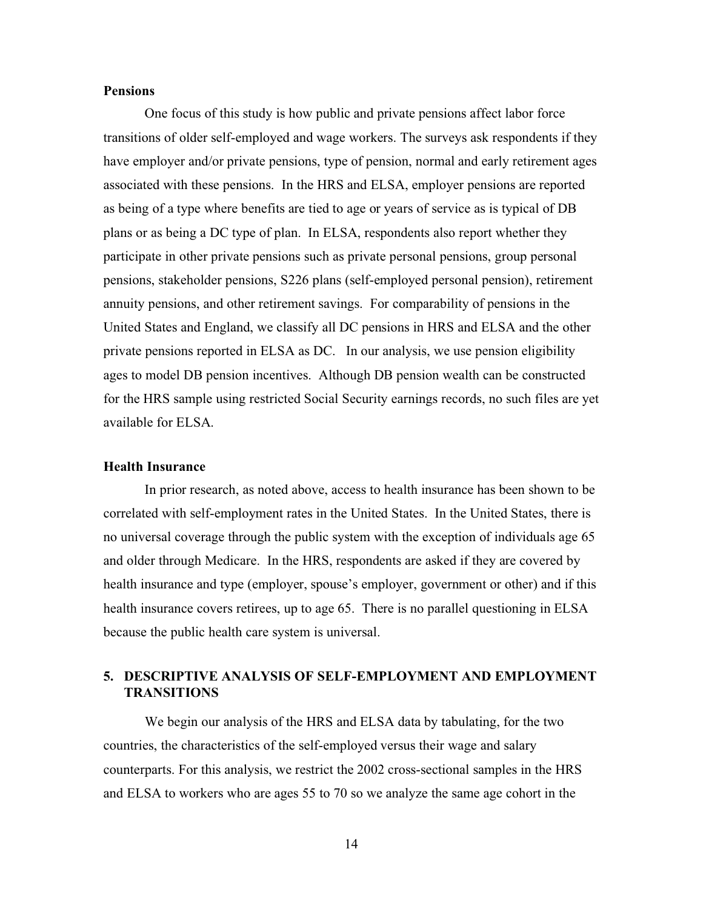#### **Pensions**

One focus of this study is how public and private pensions affect labor force transitions of older self-employed and wage workers. The surveys ask respondents if they have employer and/or private pensions, type of pension, normal and early retirement ages associated with these pensions. In the HRS and ELSA, employer pensions are reported as being of a type where benefits are tied to age or years of service as is typical of DB plans or as being a DC type of plan. In ELSA, respondents also report whether they participate in other private pensions such as private personal pensions, group personal pensions, stakeholder pensions, S226 plans (self-employed personal pension), retirement annuity pensions, and other retirement savings. For comparability of pensions in the United States and England, we classify all DC pensions in HRS and ELSA and the other private pensions reported in ELSA as DC. In our analysis, we use pension eligibility ages to model DB pension incentives. Although DB pension wealth can be constructed for the HRS sample using restricted Social Security earnings records, no such files are yet available for ELSA.

#### **Health Insurance**

In prior research, as noted above, access to health insurance has been shown to be correlated with self-employment rates in the United States. In the United States, there is no universal coverage through the public system with the exception of individuals age 65 and older through Medicare. In the HRS, respondents are asked if they are covered by health insurance and type (employer, spouse's employer, government or other) and if this health insurance covers retirees, up to age 65. There is no parallel questioning in ELSA because the public health care system is universal.

#### **5. DESCRIPTIVE ANALYSIS OF SELF-EMPLOYMENT AND EMPLOYMENT TRANSITIONS**

We begin our analysis of the HRS and ELSA data by tabulating, for the two countries, the characteristics of the self-employed versus their wage and salary counterparts. For this analysis, we restrict the 2002 cross-sectional samples in the HRS and ELSA to workers who are ages 55 to 70 so we analyze the same age cohort in the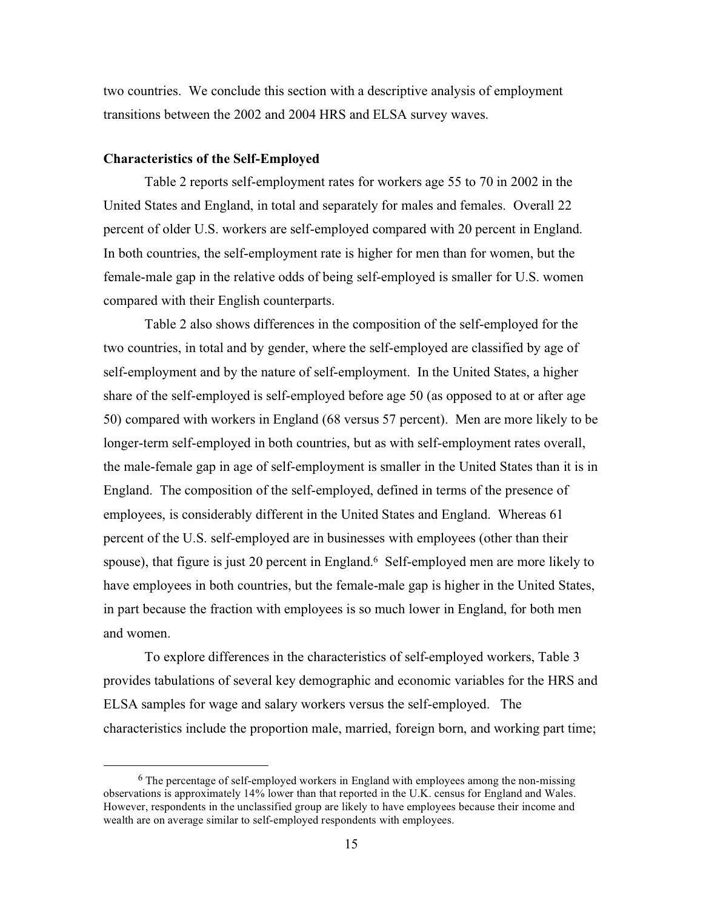two countries. We conclude this section with a descriptive analysis of employment transitions between the 2002 and 2004 HRS and ELSA survey waves.

#### **Characteristics of the Self-Employed**

Table 2 reports self-employment rates for workers age 55 to 70 in 2002 in the United States and England, in total and separately for males and females. Overall 22 percent of older U.S. workers are self-employed compared with 20 percent in England. In both countries, the self-employment rate is higher for men than for women, but the female-male gap in the relative odds of being self-employed is smaller for U.S. women compared with their English counterparts.

Table 2 also shows differences in the composition of the self-employed for the two countries, in total and by gender, where the self-employed are classified by age of self-employment and by the nature of self-employment. In the United States, a higher share of the self-employed is self-employed before age 50 (as opposed to at or after age 50) compared with workers in England (68 versus 57 percent). Men are more likely to be longer-term self-employed in both countries, but as with self-employment rates overall, the male-female gap in age of self-employment is smaller in the United States than it is in England. The composition of the self-employed, defined in terms of the presence of employees, is considerably different in the United States and England. Whereas 61 percent of the U.S. self-employed are in businesses with employees (other than their spouse), that figure is just 20 percent in England.<sup>6</sup> Self-employed men are more likely to have employees in both countries, but the female-male gap is higher in the United States, in part because the fraction with employees is so much lower in England, for both men and women.

To explore differences in the characteristics of self-employed workers, Table 3 provides tabulations of several key demographic and economic variables for the HRS and ELSA samples for wage and salary workers versus the self-employed. The characteristics include the proportion male, married, foreign born, and working part time;

<sup>6</sup> The percentage of self-employed workers in England with employees among the non-missing observations is approximately 14% lower than that reported in the U.K. census for England and Wales. However, respondents in the unclassified group are likely to have employees because their income and wealth are on average similar to self-employed respondents with employees.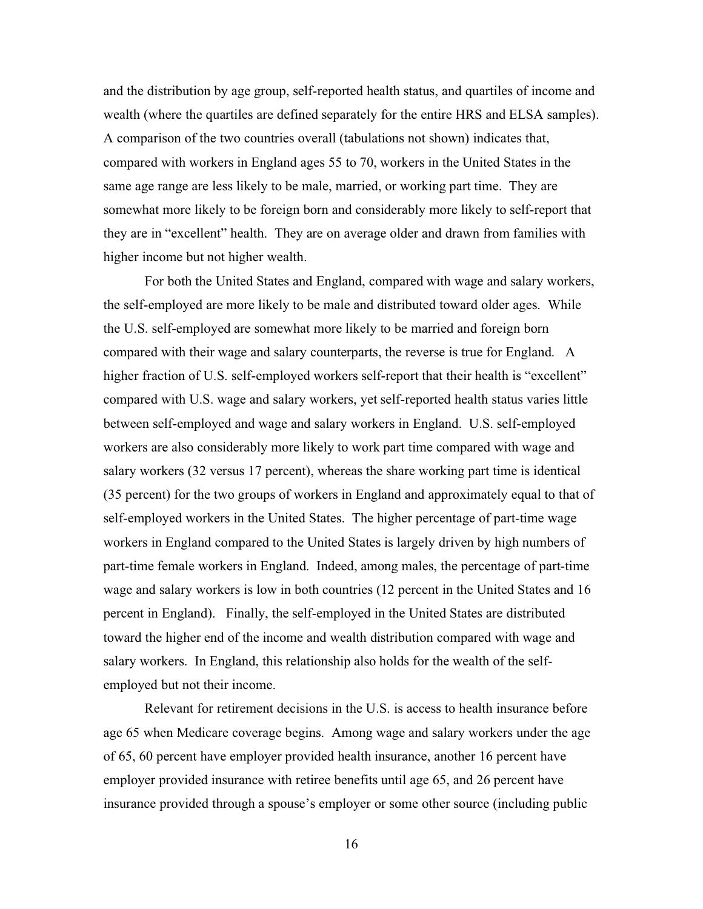and the distribution by age group, self-reported health status, and quartiles of income and wealth (where the quartiles are defined separately for the entire HRS and ELSA samples). A comparison of the two countries overall (tabulations not shown) indicates that, compared with workers in England ages 55 to 70, workers in the United States in the same age range are less likely to be male, married, or working part time. They are somewhat more likely to be foreign born and considerably more likely to self-report that they are in "excellent" health. They are on average older and drawn from families with higher income but not higher wealth.

For both the United States and England, compared with wage and salary workers, the self-employed are more likely to be male and distributed toward older ages. While the U.S. self-employed are somewhat more likely to be married and foreign born compared with their wage and salary counterparts, the reverse is true for England. A higher fraction of U.S. self-employed workers self-report that their health is "excellent" compared with U.S. wage and salary workers, yet self-reported health status varies little between self-employed and wage and salary workers in England. U.S. self-employed workers are also considerably more likely to work part time compared with wage and salary workers (32 versus 17 percent), whereas the share working part time is identical (35 percent) for the two groups of workers in England and approximately equal to that of self-employed workers in the United States. The higher percentage of part-time wage workers in England compared to the United States is largely driven by high numbers of part-time female workers in England. Indeed, among males, the percentage of part-time wage and salary workers is low in both countries (12 percent in the United States and 16 percent in England). Finally, the self-employed in the United States are distributed toward the higher end of the income and wealth distribution compared with wage and salary workers. In England, this relationship also holds for the wealth of the selfemployed but not their income.

Relevant for retirement decisions in the U.S. is access to health insurance before age 65 when Medicare coverage begins. Among wage and salary workers under the age of 65, 60 percent have employer provided health insurance, another 16 percent have employer provided insurance with retiree benefits until age 65, and 26 percent have insurance provided through a spouse's employer or some other source (including public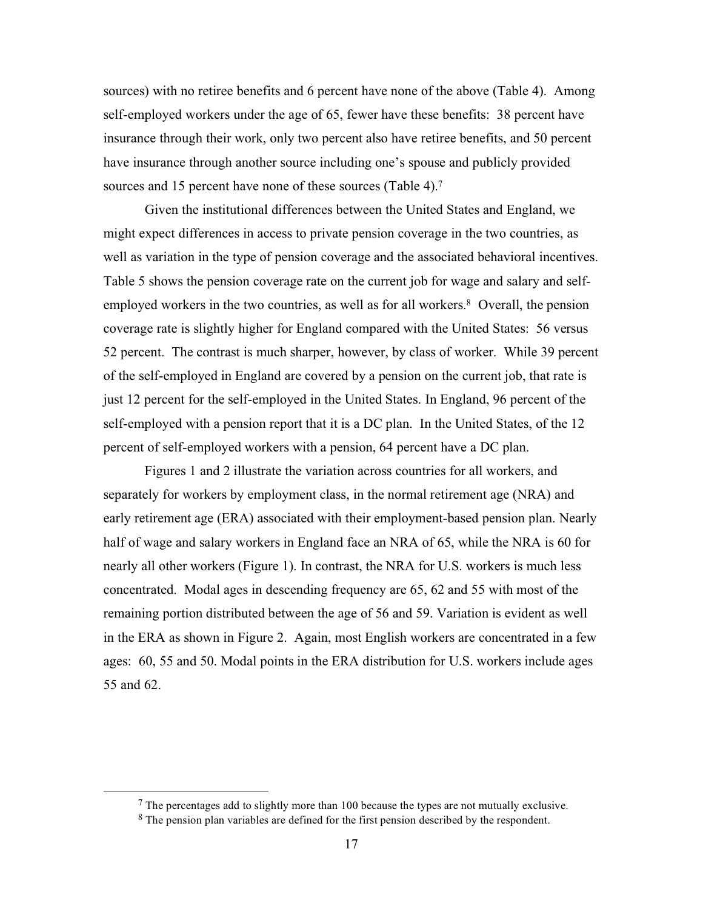sources) with no retiree benefits and 6 percent have none of the above (Table 4). Among self-employed workers under the age of 65, fewer have these benefits: 38 percent have insurance through their work, only two percent also have retiree benefits, and 50 percent have insurance through another source including one's spouse and publicly provided sources and 15 percent have none of these sources (Table 4).<sup>7</sup>

Given the institutional differences between the United States and England, we might expect differences in access to private pension coverage in the two countries, as well as variation in the type of pension coverage and the associated behavioral incentives. Table 5 shows the pension coverage rate on the current job for wage and salary and selfemployed workers in the two countries, as well as for all workers.<sup>8</sup> Overall, the pension coverage rate is slightly higher for England compared with the United States: 56 versus 52 percent. The contrast is much sharper, however, by class of worker. While 39 percent of the self-employed in England are covered by a pension on the current job, that rate is just 12 percent for the self-employed in the United States. In England, 96 percent of the self-employed with a pension report that it is a DC plan. In the United States, of the 12 percent of self-employed workers with a pension, 64 percent have a DC plan.

Figures 1 and 2 illustrate the variation across countries for all workers, and separately for workers by employment class, in the normal retirement age (NRA) and early retirement age (ERA) associated with their employment-based pension plan. Nearly half of wage and salary workers in England face an NRA of 65, while the NRA is 60 for nearly all other workers (Figure 1). In contrast, the NRA for U.S. workers is much less concentrated. Modal ages in descending frequency are 65, 62 and 55 with most of the remaining portion distributed between the age of 56 and 59. Variation is evident as well in the ERA as shown in Figure 2. Again, most English workers are concentrated in a few ages: 60, 55 and 50. Modal points in the ERA distribution for U.S. workers include ages 55 and 62.

 $<sup>7</sup>$  The percentages add to slightly more than 100 because the types are not mutually exclusive.</sup>

<sup>8</sup> The pension plan variables are defined for the first pension described by the respondent.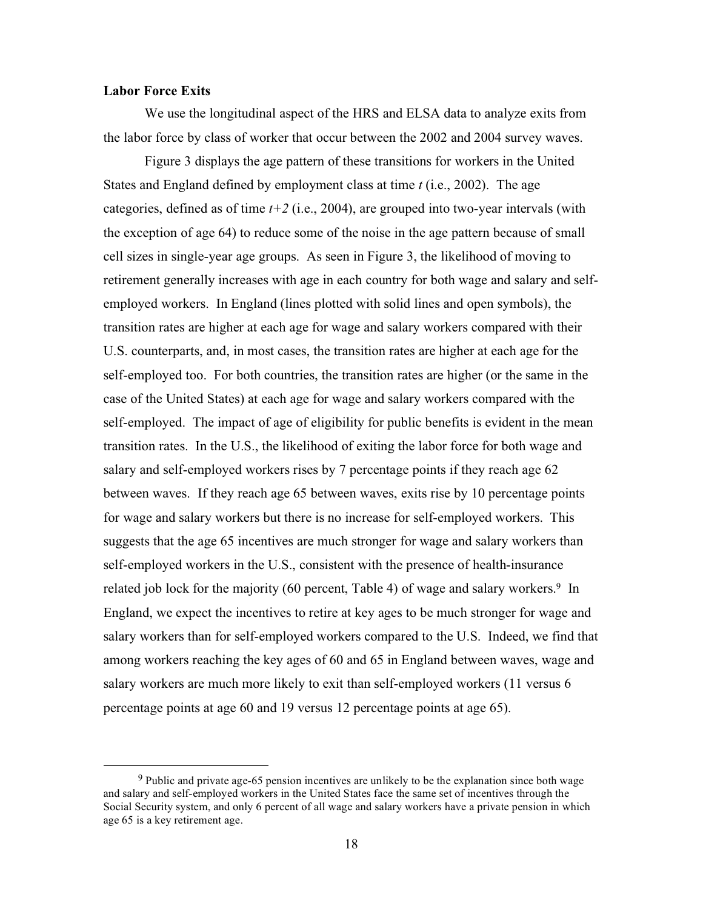#### **Labor Force Exits**

We use the longitudinal aspect of the HRS and ELSA data to analyze exits from the labor force by class of worker that occur between the 2002 and 2004 survey waves.

Figure 3 displays the age pattern of these transitions for workers in the United States and England defined by employment class at time *t* (i.e., 2002). The age categories, defined as of time *t+2* (i.e., 2004), are grouped into two-year intervals (with the exception of age 64) to reduce some of the noise in the age pattern because of small cell sizes in single-year age groups. As seen in Figure 3, the likelihood of moving to retirement generally increases with age in each country for both wage and salary and selfemployed workers. In England (lines plotted with solid lines and open symbols), the transition rates are higher at each age for wage and salary workers compared with their U.S. counterparts, and, in most cases, the transition rates are higher at each age for the self-employed too. For both countries, the transition rates are higher (or the same in the case of the United States) at each age for wage and salary workers compared with the self-employed. The impact of age of eligibility for public benefits is evident in the mean transition rates. In the U.S., the likelihood of exiting the labor force for both wage and salary and self-employed workers rises by 7 percentage points if they reach age 62 between waves. If they reach age 65 between waves, exits rise by 10 percentage points for wage and salary workers but there is no increase for self-employed workers. This suggests that the age 65 incentives are much stronger for wage and salary workers than self-employed workers in the U.S., consistent with the presence of health-insurance related job lock for the majority (60 percent, Table 4) of wage and salary workers.<sup>9</sup> In England, we expect the incentives to retire at key ages to be much stronger for wage and salary workers than for self-employed workers compared to the U.S. Indeed, we find that among workers reaching the key ages of 60 and 65 in England between waves, wage and salary workers are much more likely to exit than self-employed workers (11 versus 6 percentage points at age 60 and 19 versus 12 percentage points at age 65).

<sup>9</sup> Public and private age-65 pension incentives are unlikely to be the explanation since both wage and salary and self-employed workers in the United States face the same set of incentives through the Social Security system, and only 6 percent of all wage and salary workers have a private pension in which age 65 is a key retirement age.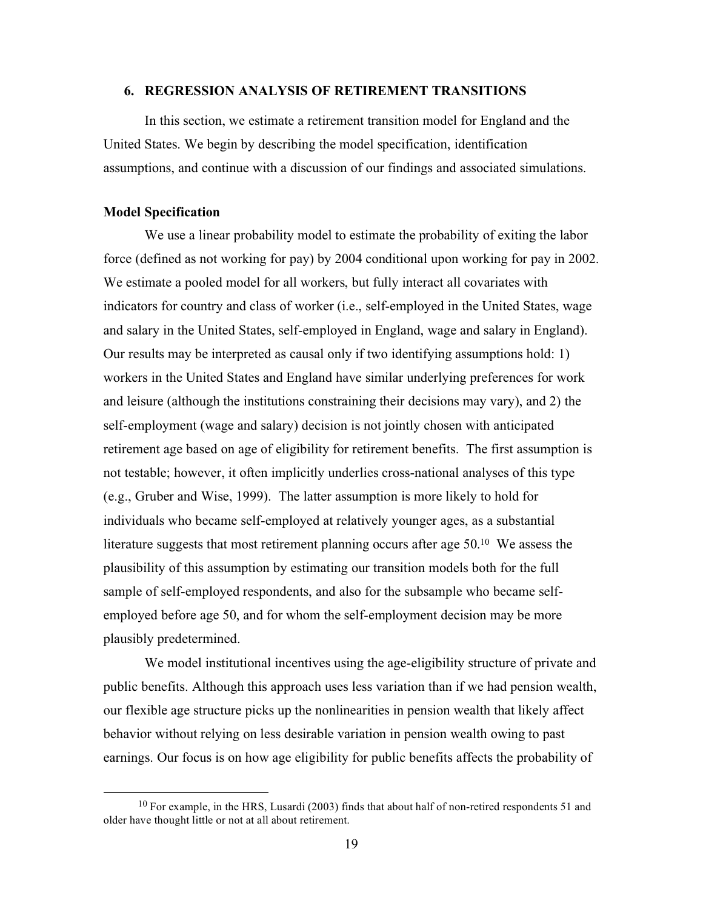#### **6. REGRESSION ANALYSIS OF RETIREMENT TRANSITIONS**

In this section, we estimate a retirement transition model for England and the United States. We begin by describing the model specification, identification assumptions, and continue with a discussion of our findings and associated simulations.

#### **Model Specification**

We use a linear probability model to estimate the probability of exiting the labor force (defined as not working for pay) by 2004 conditional upon working for pay in 2002. We estimate a pooled model for all workers, but fully interact all covariates with indicators for country and class of worker (i.e., self-employed in the United States, wage and salary in the United States, self-employed in England, wage and salary in England). Our results may be interpreted as causal only if two identifying assumptions hold: 1) workers in the United States and England have similar underlying preferences for work and leisure (although the institutions constraining their decisions may vary), and 2) the self-employment (wage and salary) decision is not jointly chosen with anticipated retirement age based on age of eligibility for retirement benefits. The first assumption is not testable; however, it often implicitly underlies cross-national analyses of this type (e.g., Gruber and Wise, 1999). The latter assumption is more likely to hold for individuals who became self-employed at relatively younger ages, as a substantial literature suggests that most retirement planning occurs after age 50.10 We assess the plausibility of this assumption by estimating our transition models both for the full sample of self-employed respondents, and also for the subsample who became selfemployed before age 50, and for whom the self-employment decision may be more plausibly predetermined.

We model institutional incentives using the age-eligibility structure of private and public benefits. Although this approach uses less variation than if we had pension wealth, our flexible age structure picks up the nonlinearities in pension wealth that likely affect behavior without relying on less desirable variation in pension wealth owing to past earnings. Our focus is on how age eligibility for public benefits affects the probability of

<sup>&</sup>lt;sup>10</sup> For example, in the HRS, Lusardi (2003) finds that about half of non-retired respondents 51 and older have thought little or not at all about retirement.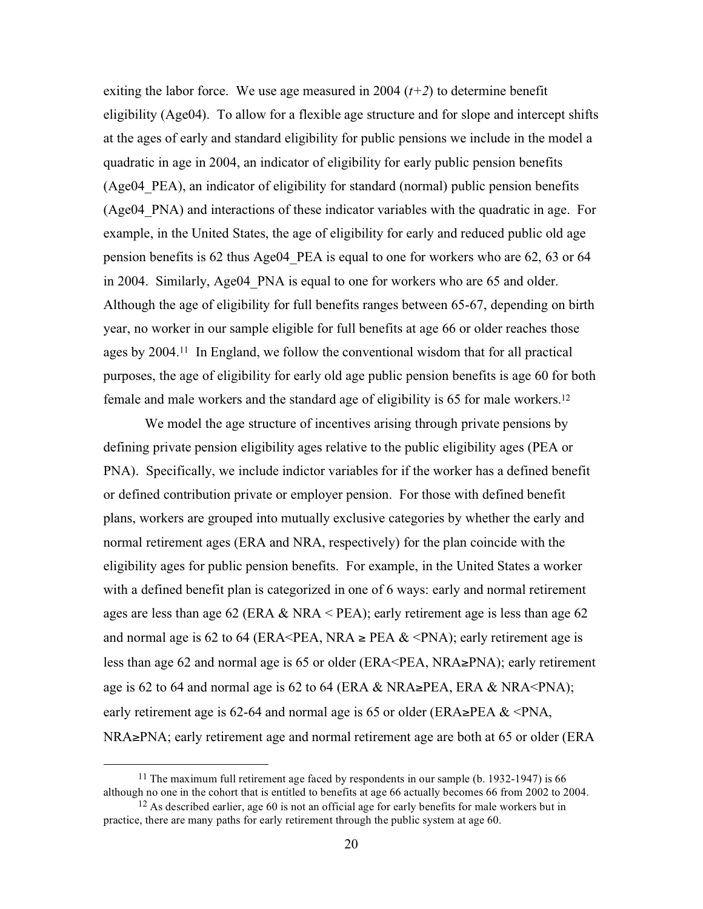exiting the labor force. We use age measured in 2004  $(t+2)$  to determine benefit eligibility (Age04). To allow for a flexible age structure and for slope and intercept shifts at the ages of early and standard eligibility for public pensions we include in the model a quadratic in age in 2004, an indicator of eligibility for early public pension benefits (Age04\_PEA), an indicator of eligibility for standard (normal) public pension benefits (Age04\_PNA) and interactions of these indicator variables with the quadratic in age. For example, in the United States, the age of eligibility for early and reduced public old age pension benefits is 62 thus Age04\_PEA is equal to one for workers who are 62, 63 or 64 in 2004. Similarly, Age04 PNA is equal to one for workers who are 65 and older. Although the age of eligibility for full benefits ranges between 65-67, depending on birth year, no worker in our sample eligible for full benefits at age 66 or older reaches those ages by 2004.11 In England, we follow the conventional wisdom that for all practical purposes, the age of eligibility for early old age public pension benefits is age 60 for both female and male workers and the standard age of eligibility is 65 for male workers.12

We model the age structure of incentives arising through private pensions by defining private pension eligibility ages relative to the public eligibility ages (PEA or PNA). Specifically, we include indictor variables for if the worker has a defined benefit or defined contribution private or employer pension. For those with defined benefit plans, workers are grouped into mutually exclusive categories by whether the early and normal retirement ages (ERA and NRA, respectively) for the plan coincide with the eligibility ages for public pension benefits. For example, in the United States a worker with a defined benefit plan is categorized in one of 6 ways: early and normal retirement ages are less than age 62 (ERA & NRA < PEA); early retirement age is less than age 62 and normal age is 62 to 64 (ERA<PEA, NRA  $\geq$  PEA  $\&$  <PNA); early retirement age is less than age 62 and normal age is 65 or older (ERA<PEA, NRA≥PNA); early retirement age is 62 to 64 and normal age is 62 to 64 (ERA & NRA $\geq$ PEA, ERA & NRA $\leq$ PNA); early retirement age is 62-64 and normal age is 65 or older (ERA $\geq$ PEA & <PNA, NRA≥PNA; early retirement age and normal retirement age are both at 65 or older (ERA

<sup>&</sup>lt;sup>11</sup> The maximum full retirement age faced by respondents in our sample (b. 1932-1947) is 66 although no one in the cohort that is entitled to benefits at age 66 actually becomes 66 from 2002 to 2004.

<sup>&</sup>lt;sup>12</sup> As described earlier, age 60 is not an official age for early benefits for male workers but in practice, there are many paths for early retirement through the public system at age 60.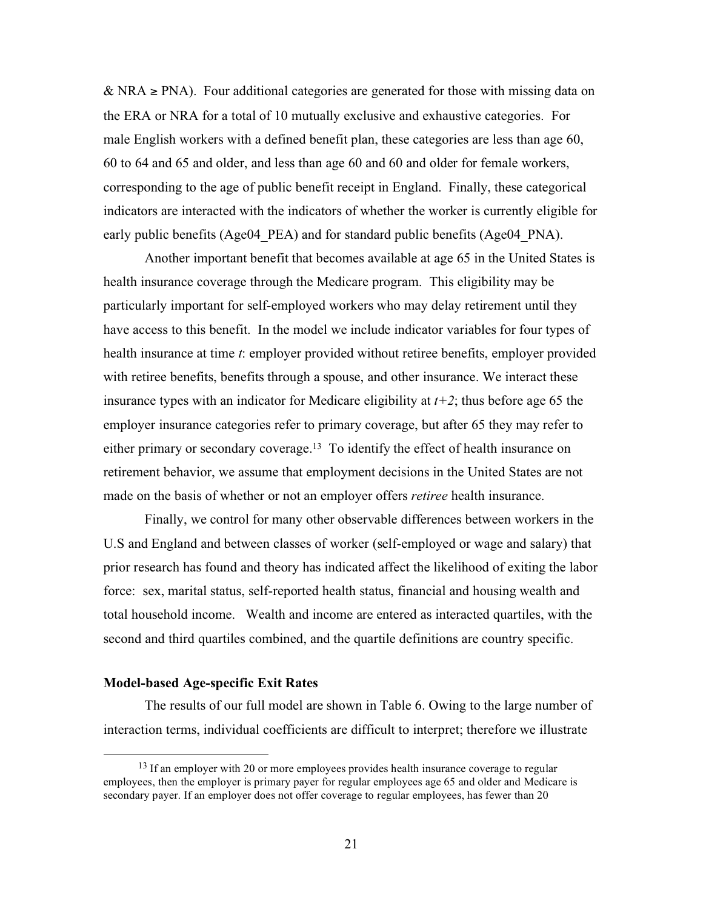& NRA  $\geq$  PNA). Four additional categories are generated for those with missing data on the ERA or NRA for a total of 10 mutually exclusive and exhaustive categories. For male English workers with a defined benefit plan, these categories are less than age 60, 60 to 64 and 65 and older, and less than age 60 and 60 and older for female workers, corresponding to the age of public benefit receipt in England. Finally, these categorical indicators are interacted with the indicators of whether the worker is currently eligible for early public benefits (Age04 PEA) and for standard public benefits (Age04 PNA).

Another important benefit that becomes available at age 65 in the United States is health insurance coverage through the Medicare program. This eligibility may be particularly important for self-employed workers who may delay retirement until they have access to this benefit. In the model we include indicator variables for four types of health insurance at time *t*: employer provided without retiree benefits, employer provided with retiree benefits, benefits through a spouse, and other insurance. We interact these insurance types with an indicator for Medicare eligibility at *t+2*; thus before age 65 the employer insurance categories refer to primary coverage, but after 65 they may refer to either primary or secondary coverage.13 To identify the effect of health insurance on retirement behavior, we assume that employment decisions in the United States are not made on the basis of whether or not an employer offers *retiree* health insurance.

Finally, we control for many other observable differences between workers in the U.S and England and between classes of worker (self-employed or wage and salary) that prior research has found and theory has indicated affect the likelihood of exiting the labor force: sex, marital status, self-reported health status, financial and housing wealth and total household income. Wealth and income are entered as interacted quartiles, with the second and third quartiles combined, and the quartile definitions are country specific.

#### **Model-based Age-specific Exit Rates**

The results of our full model are shown in Table 6. Owing to the large number of interaction terms, individual coefficients are difficult to interpret; therefore we illustrate

<sup>&</sup>lt;sup>13</sup> If an employer with 20 or more employees provides health insurance coverage to regular employees, then the employer is primary payer for regular employees age 65 and older and Medicare is secondary payer. If an employer does not offer coverage to regular employees, has fewer than 20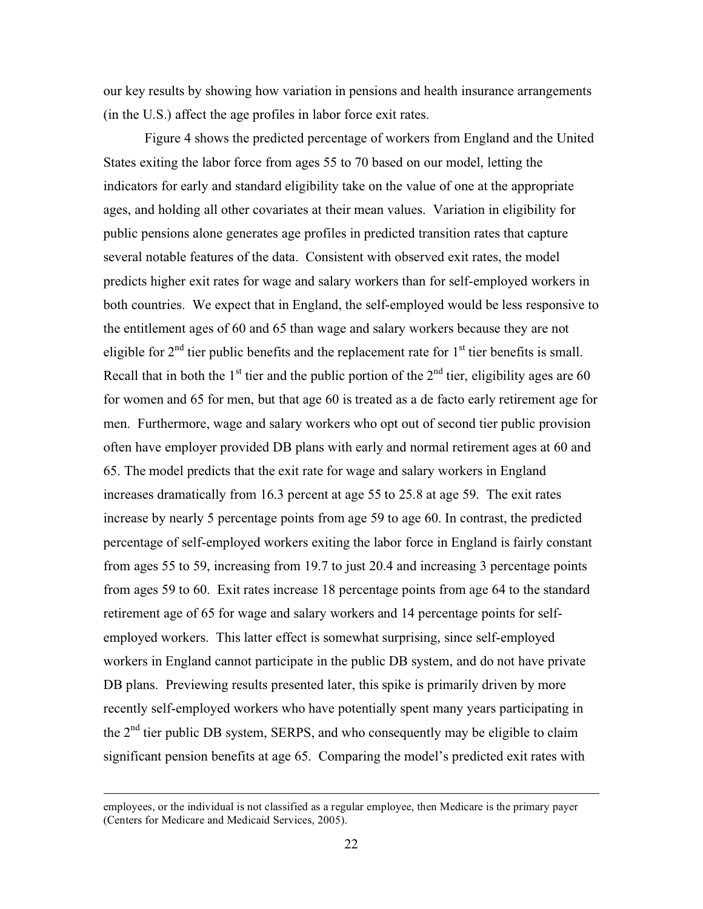our key results by showing how variation in pensions and health insurance arrangements (in the U.S.) affect the age profiles in labor force exit rates.

Figure 4 shows the predicted percentage of workers from England and the United States exiting the labor force from ages 55 to 70 based on our model, letting the indicators for early and standard eligibility take on the value of one at the appropriate ages, and holding all other covariates at their mean values. Variation in eligibility for public pensions alone generates age profiles in predicted transition rates that capture several notable features of the data. Consistent with observed exit rates, the model predicts higher exit rates for wage and salary workers than for self-employed workers in both countries. We expect that in England, the self-employed would be less responsive to the entitlement ages of 60 and 65 than wage and salary workers because they are not eligible for  $2<sup>nd</sup>$  tier public benefits and the replacement rate for  $1<sup>st</sup>$  tier benefits is small. Recall that in both the 1<sup>st</sup> tier and the public portion of the  $2<sup>nd</sup>$  tier, eligibility ages are 60 for women and 65 for men, but that age 60 is treated as a de facto early retirement age for men. Furthermore, wage and salary workers who opt out of second tier public provision often have employer provided DB plans with early and normal retirement ages at 60 and 65. The model predicts that the exit rate for wage and salary workers in England increases dramatically from 16.3 percent at age 55 to 25.8 at age 59. The exit rates increase by nearly 5 percentage points from age 59 to age 60. In contrast, the predicted percentage of self-employed workers exiting the labor force in England is fairly constant from ages 55 to 59, increasing from 19.7 to just 20.4 and increasing 3 percentage points from ages 59 to 60. Exit rates increase 18 percentage points from age 64 to the standard retirement age of 65 for wage and salary workers and 14 percentage points for selfemployed workers. This latter effect is somewhat surprising, since self-employed workers in England cannot participate in the public DB system, and do not have private DB plans. Previewing results presented later, this spike is primarily driven by more recently self-employed workers who have potentially spent many years participating in the  $2<sup>nd</sup>$  tier public DB system, SERPS, and who consequently may be eligible to claim significant pension benefits at age 65. Comparing the model's predicted exit rates with

employees, or the individual is not classified as a regular employee, then Medicare is the primary payer (Centers for Medicare and Medicaid Services, 2005).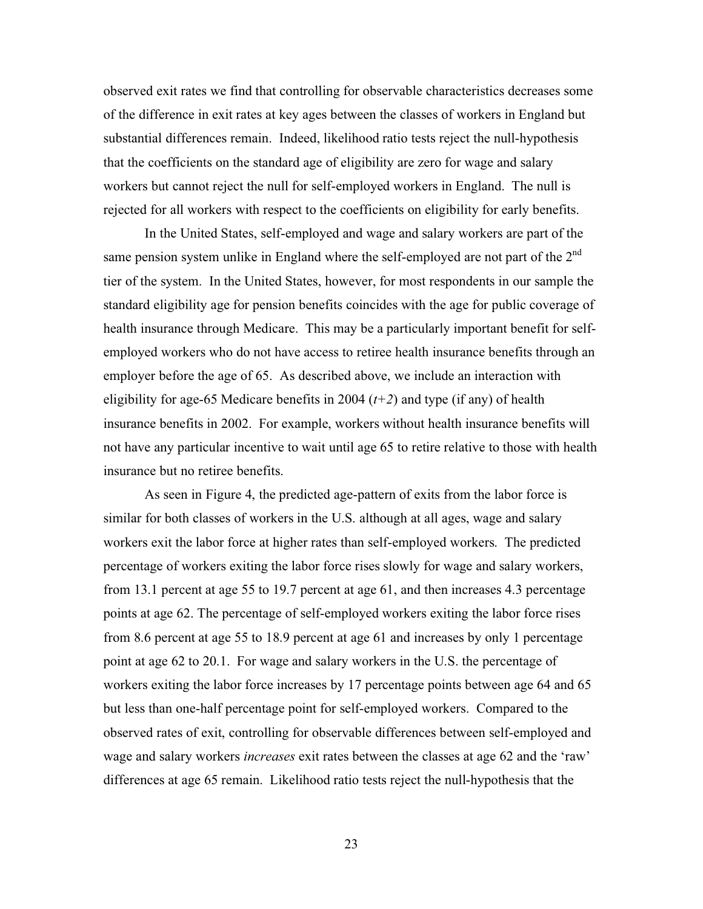observed exit rates we find that controlling for observable characteristics decreases some of the difference in exit rates at key ages between the classes of workers in England but substantial differences remain. Indeed, likelihood ratio tests reject the null-hypothesis that the coefficients on the standard age of eligibility are zero for wage and salary workers but cannot reject the null for self-employed workers in England. The null is rejected for all workers with respect to the coefficients on eligibility for early benefits.

In the United States, self-employed and wage and salary workers are part of the same pension system unlike in England where the self-employed are not part of the  $2<sup>nd</sup>$ tier of the system. In the United States, however, for most respondents in our sample the standard eligibility age for pension benefits coincides with the age for public coverage of health insurance through Medicare. This may be a particularly important benefit for selfemployed workers who do not have access to retiree health insurance benefits through an employer before the age of 65. As described above, we include an interaction with eligibility for age-65 Medicare benefits in 2004  $(t+2)$  and type (if any) of health insurance benefits in 2002. For example, workers without health insurance benefits will not have any particular incentive to wait until age 65 to retire relative to those with health insurance but no retiree benefits.

As seen in Figure 4, the predicted age-pattern of exits from the labor force is similar for both classes of workers in the U.S. although at all ages, wage and salary workers exit the labor force at higher rates than self-employed workers. The predicted percentage of workers exiting the labor force rises slowly for wage and salary workers, from 13.1 percent at age 55 to 19.7 percent at age 61, and then increases 4.3 percentage points at age 62. The percentage of self-employed workers exiting the labor force rises from 8.6 percent at age 55 to 18.9 percent at age 61 and increases by only 1 percentage point at age 62 to 20.1. For wage and salary workers in the U.S. the percentage of workers exiting the labor force increases by 17 percentage points between age 64 and 65 but less than one-half percentage point for self-employed workers. Compared to the observed rates of exit, controlling for observable differences between self-employed and wage and salary workers *increases* exit rates between the classes at age 62 and the 'raw' differences at age 65 remain. Likelihood ratio tests reject the null-hypothesis that the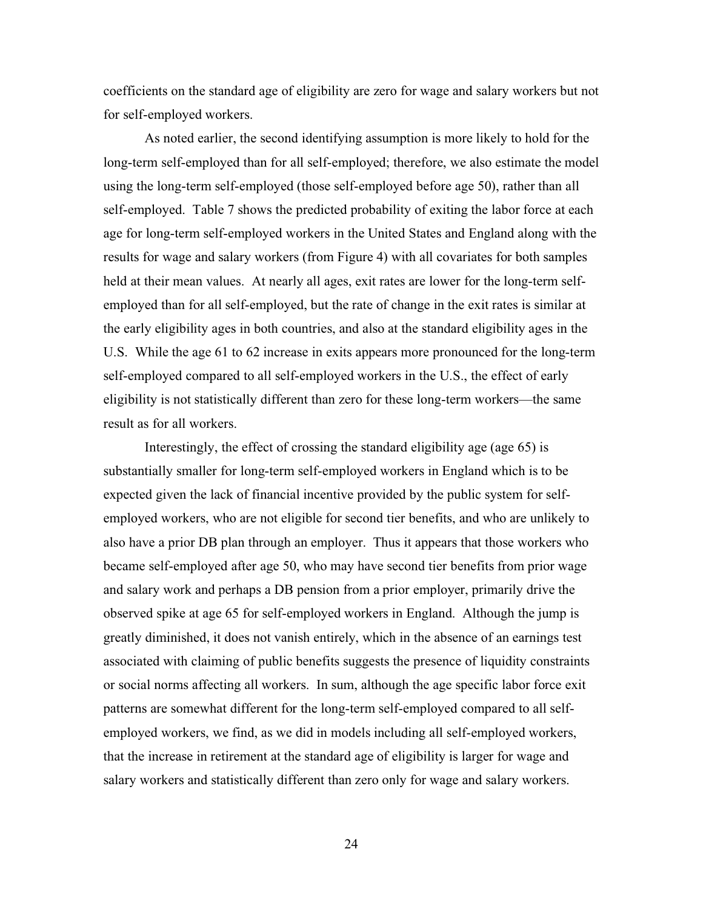coefficients on the standard age of eligibility are zero for wage and salary workers but not for self-employed workers.

As noted earlier, the second identifying assumption is more likely to hold for the long-term self-employed than for all self-employed; therefore, we also estimate the model using the long-term self-employed (those self-employed before age 50), rather than all self-employed. Table 7 shows the predicted probability of exiting the labor force at each age for long-term self-employed workers in the United States and England along with the results for wage and salary workers (from Figure 4) with all covariates for both samples held at their mean values. At nearly all ages, exit rates are lower for the long-term selfemployed than for all self-employed, but the rate of change in the exit rates is similar at the early eligibility ages in both countries, and also at the standard eligibility ages in the U.S. While the age 61 to 62 increase in exits appears more pronounced for the long-term self-employed compared to all self-employed workers in the U.S., the effect of early eligibility is not statistically different than zero for these long-term workers—the same result as for all workers.

Interestingly, the effect of crossing the standard eligibility age (age 65) is substantially smaller for long-term self-employed workers in England which is to be expected given the lack of financial incentive provided by the public system for selfemployed workers, who are not eligible for second tier benefits, and who are unlikely to also have a prior DB plan through an employer. Thus it appears that those workers who became self-employed after age 50, who may have second tier benefits from prior wage and salary work and perhaps a DB pension from a prior employer, primarily drive the observed spike at age 65 for self-employed workers in England. Although the jump is greatly diminished, it does not vanish entirely, which in the absence of an earnings test associated with claiming of public benefits suggests the presence of liquidity constraints or social norms affecting all workers. In sum, although the age specific labor force exit patterns are somewhat different for the long-term self-employed compared to all selfemployed workers, we find, as we did in models including all self-employed workers, that the increase in retirement at the standard age of eligibility is larger for wage and salary workers and statistically different than zero only for wage and salary workers.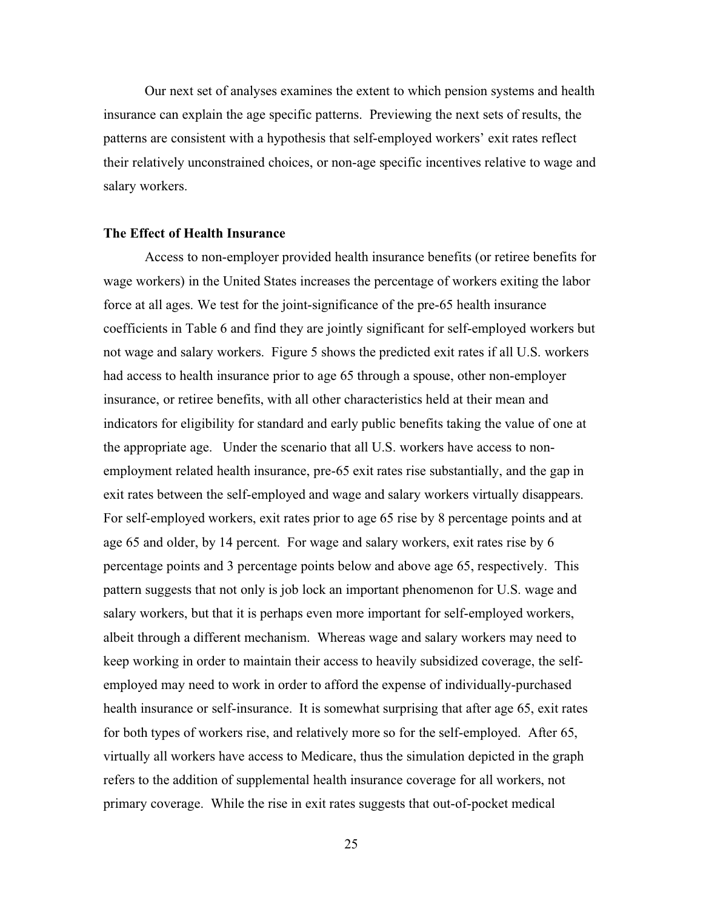Our next set of analyses examines the extent to which pension systems and health insurance can explain the age specific patterns. Previewing the next sets of results, the patterns are consistent with a hypothesis that self-employed workers' exit rates reflect their relatively unconstrained choices, or non-age specific incentives relative to wage and salary workers.

#### **The Effect of Health Insurance**

Access to non-employer provided health insurance benefits (or retiree benefits for wage workers) in the United States increases the percentage of workers exiting the labor force at all ages. We test for the joint-significance of the pre-65 health insurance coefficients in Table 6 and find they are jointly significant for self-employed workers but not wage and salary workers. Figure 5 shows the predicted exit rates if all U.S. workers had access to health insurance prior to age 65 through a spouse, other non-employer insurance, or retiree benefits, with all other characteristics held at their mean and indicators for eligibility for standard and early public benefits taking the value of one at the appropriate age. Under the scenario that all U.S. workers have access to nonemployment related health insurance, pre-65 exit rates rise substantially, and the gap in exit rates between the self-employed and wage and salary workers virtually disappears. For self-employed workers, exit rates prior to age 65 rise by 8 percentage points and at age 65 and older, by 14 percent. For wage and salary workers, exit rates rise by 6 percentage points and 3 percentage points below and above age 65, respectively. This pattern suggests that not only is job lock an important phenomenon for U.S. wage and salary workers, but that it is perhaps even more important for self-employed workers, albeit through a different mechanism. Whereas wage and salary workers may need to keep working in order to maintain their access to heavily subsidized coverage, the selfemployed may need to work in order to afford the expense of individually-purchased health insurance or self-insurance. It is somewhat surprising that after age 65, exit rates for both types of workers rise, and relatively more so for the self-employed. After 65, virtually all workers have access to Medicare, thus the simulation depicted in the graph refers to the addition of supplemental health insurance coverage for all workers, not primary coverage. While the rise in exit rates suggests that out-of-pocket medical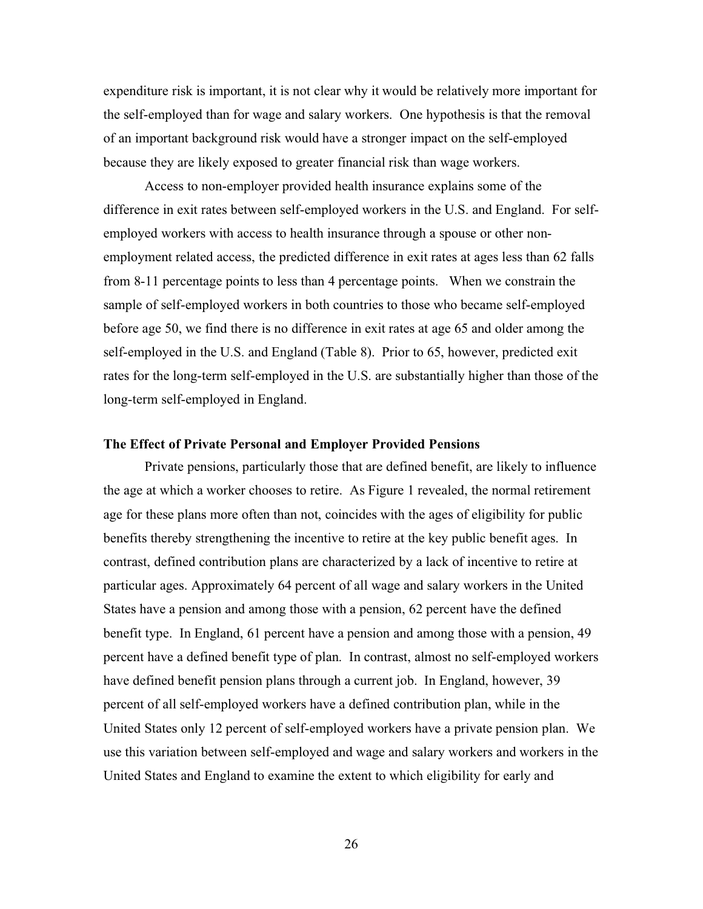expenditure risk is important, it is not clear why it would be relatively more important for the self-employed than for wage and salary workers. One hypothesis is that the removal of an important background risk would have a stronger impact on the self-employed because they are likely exposed to greater financial risk than wage workers.

Access to non-employer provided health insurance explains some of the difference in exit rates between self-employed workers in the U.S. and England. For selfemployed workers with access to health insurance through a spouse or other nonemployment related access, the predicted difference in exit rates at ages less than 62 falls from 8-11 percentage points to less than 4 percentage points. When we constrain the sample of self-employed workers in both countries to those who became self-employed before age 50, we find there is no difference in exit rates at age 65 and older among the self-employed in the U.S. and England (Table 8). Prior to 65, however, predicted exit rates for the long-term self-employed in the U.S. are substantially higher than those of the long-term self-employed in England.

#### **The Effect of Private Personal and Employer Provided Pensions**

Private pensions, particularly those that are defined benefit, are likely to influence the age at which a worker chooses to retire. As Figure 1 revealed, the normal retirement age for these plans more often than not, coincides with the ages of eligibility for public benefits thereby strengthening the incentive to retire at the key public benefit ages. In contrast, defined contribution plans are characterized by a lack of incentive to retire at particular ages. Approximately 64 percent of all wage and salary workers in the United States have a pension and among those with a pension, 62 percent have the defined benefit type. In England, 61 percent have a pension and among those with a pension, 49 percent have a defined benefit type of plan. In contrast, almost no self-employed workers have defined benefit pension plans through a current job. In England, however, 39 percent of all self-employed workers have a defined contribution plan, while in the United States only 12 percent of self-employed workers have a private pension plan. We use this variation between self-employed and wage and salary workers and workers in the United States and England to examine the extent to which eligibility for early and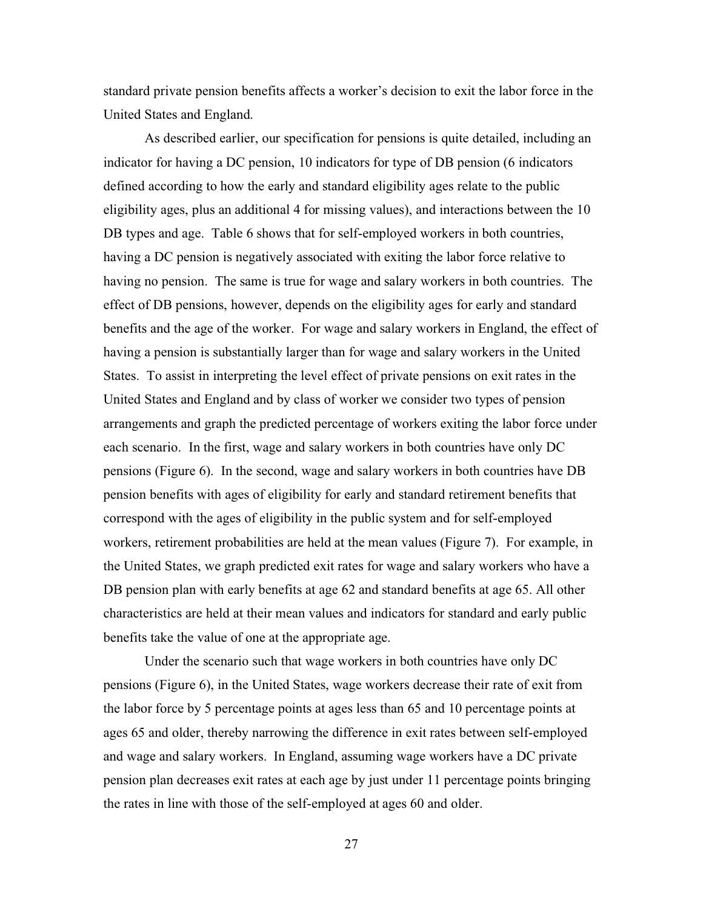standard private pension benefits affects a worker's decision to exit the labor force in the United States and England.

As described earlier, our specification for pensions is quite detailed, including an indicator for having a DC pension, 10 indicators for type of DB pension (6 indicators defined according to how the early and standard eligibility ages relate to the public eligibility ages, plus an additional 4 for missing values), and interactions between the 10 DB types and age. Table 6 shows that for self-employed workers in both countries, having a DC pension is negatively associated with exiting the labor force relative to having no pension. The same is true for wage and salary workers in both countries. The effect of DB pensions, however, depends on the eligibility ages for early and standard benefits and the age of the worker. For wage and salary workers in England, the effect of having a pension is substantially larger than for wage and salary workers in the United States. To assist in interpreting the level effect of private pensions on exit rates in the United States and England and by class of worker we consider two types of pension arrangements and graph the predicted percentage of workers exiting the labor force under each scenario. In the first, wage and salary workers in both countries have only DC pensions (Figure 6). In the second, wage and salary workers in both countries have DB pension benefits with ages of eligibility for early and standard retirement benefits that correspond with the ages of eligibility in the public system and for self-employed workers, retirement probabilities are held at the mean values (Figure 7). For example, in the United States, we graph predicted exit rates for wage and salary workers who have a DB pension plan with early benefits at age 62 and standard benefits at age 65. All other characteristics are held at their mean values and indicators for standard and early public benefits take the value of one at the appropriate age.

Under the scenario such that wage workers in both countries have only DC pensions (Figure 6), in the United States, wage workers decrease their rate of exit from the labor force by 5 percentage points at ages less than 65 and 10 percentage points at ages 65 and older, thereby narrowing the difference in exit rates between self-employed and wage and salary workers. In England, assuming wage workers have a DC private pension plan decreases exit rates at each age by just under 11 percentage points bringing the rates in line with those of the self-employed at ages 60 and older.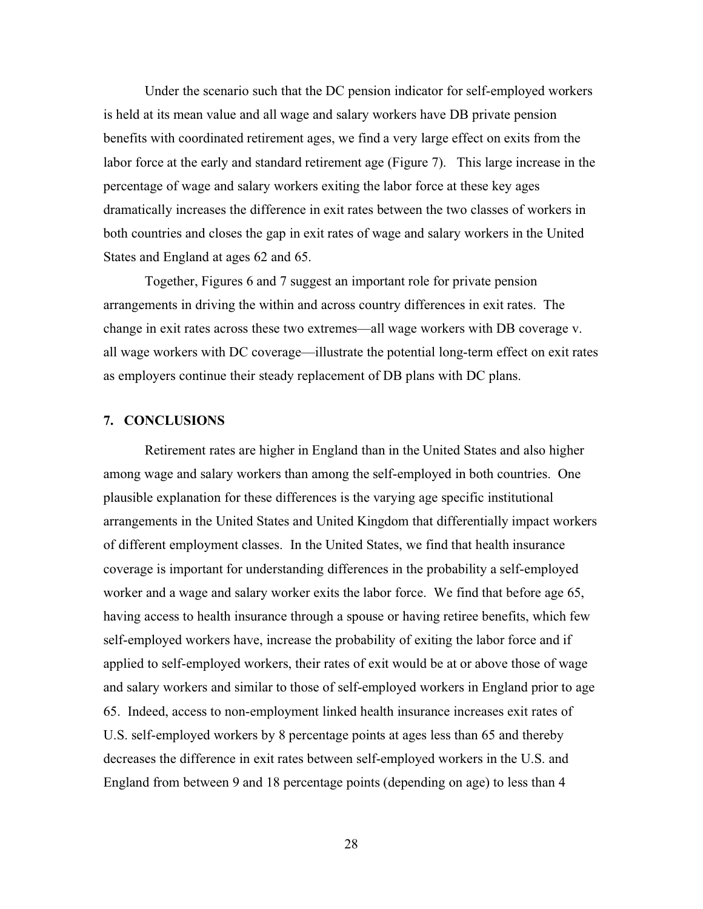Under the scenario such that the DC pension indicator for self-employed workers is held at its mean value and all wage and salary workers have DB private pension benefits with coordinated retirement ages, we find a very large effect on exits from the labor force at the early and standard retirement age (Figure 7). This large increase in the percentage of wage and salary workers exiting the labor force at these key ages dramatically increases the difference in exit rates between the two classes of workers in both countries and closes the gap in exit rates of wage and salary workers in the United States and England at ages 62 and 65.

Together, Figures 6 and 7 suggest an important role for private pension arrangements in driving the within and across country differences in exit rates. The change in exit rates across these two extremes—all wage workers with DB coverage v. all wage workers with DC coverage—illustrate the potential long-term effect on exit rates as employers continue their steady replacement of DB plans with DC plans.

#### **7. CONCLUSIONS**

Retirement rates are higher in England than in the United States and also higher among wage and salary workers than among the self-employed in both countries. One plausible explanation for these differences is the varying age specific institutional arrangements in the United States and United Kingdom that differentially impact workers of different employment classes. In the United States, we find that health insurance coverage is important for understanding differences in the probability a self-employed worker and a wage and salary worker exits the labor force. We find that before age 65, having access to health insurance through a spouse or having retiree benefits, which few self-employed workers have, increase the probability of exiting the labor force and if applied to self-employed workers, their rates of exit would be at or above those of wage and salary workers and similar to those of self-employed workers in England prior to age 65. Indeed, access to non-employment linked health insurance increases exit rates of U.S. self-employed workers by 8 percentage points at ages less than 65 and thereby decreases the difference in exit rates between self-employed workers in the U.S. and England from between 9 and 18 percentage points (depending on age) to less than 4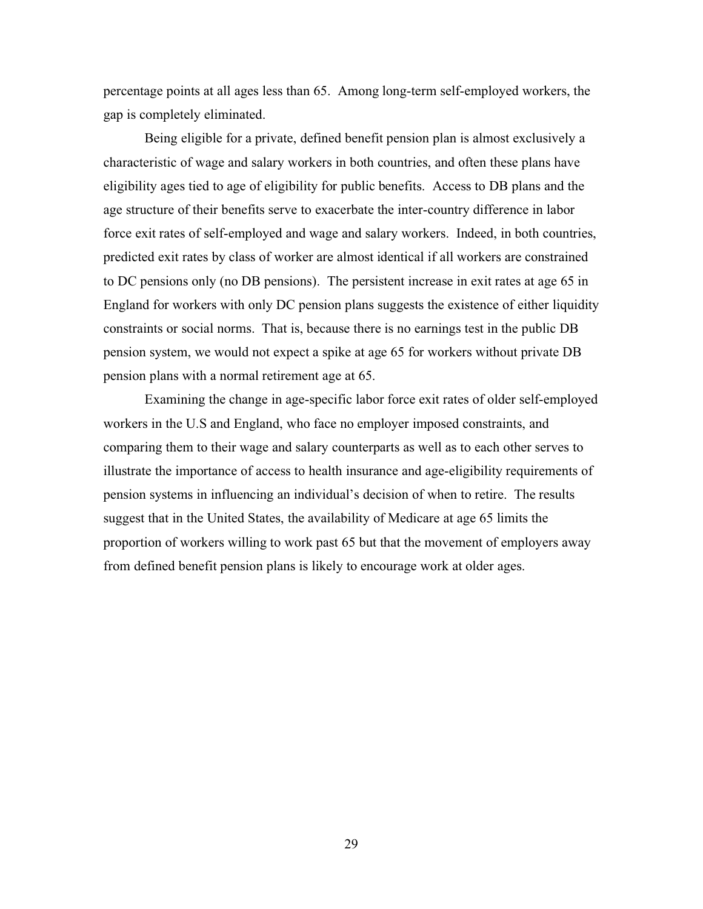percentage points at all ages less than 65. Among long-term self-employed workers, the gap is completely eliminated.

Being eligible for a private, defined benefit pension plan is almost exclusively a characteristic of wage and salary workers in both countries, and often these plans have eligibility ages tied to age of eligibility for public benefits. Access to DB plans and the age structure of their benefits serve to exacerbate the inter-country difference in labor force exit rates of self-employed and wage and salary workers. Indeed, in both countries, predicted exit rates by class of worker are almost identical if all workers are constrained to DC pensions only (no DB pensions). The persistent increase in exit rates at age 65 in England for workers with only DC pension plans suggests the existence of either liquidity constraints or social norms. That is, because there is no earnings test in the public DB pension system, we would not expect a spike at age 65 for workers without private DB pension plans with a normal retirement age at 65.

Examining the change in age-specific labor force exit rates of older self-employed workers in the U.S and England, who face no employer imposed constraints, and comparing them to their wage and salary counterparts as well as to each other serves to illustrate the importance of access to health insurance and age-eligibility requirements of pension systems in influencing an individual's decision of when to retire. The results suggest that in the United States, the availability of Medicare at age 65 limits the proportion of workers willing to work past 65 but that the movement of employers away from defined benefit pension plans is likely to encourage work at older ages.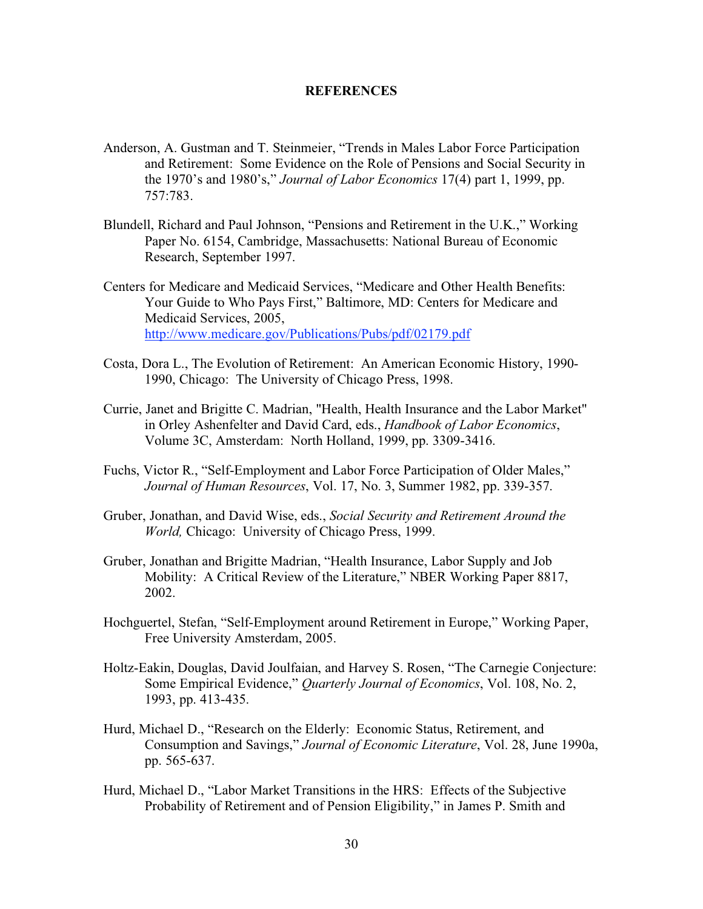#### **REFERENCES**

- Anderson, A. Gustman and T. Steinmeier, "Trends in Males Labor Force Participation and Retirement: Some Evidence on the Role of Pensions and Social Security in the 1970's and 1980's," *Journal of Labor Economics* 17(4) part 1, 1999, pp. 757:783.
- Blundell, Richard and Paul Johnson, "Pensions and Retirement in the U.K.," Working Paper No. 6154, Cambridge, Massachusetts: National Bureau of Economic Research, September 1997.
- Centers for Medicare and Medicaid Services, "Medicare and Other Health Benefits: Your Guide to Who Pays First," Baltimore, MD: Centers for Medicare and Medicaid Services, 2005, <http://www.medicare.gov/Publications/Pubs/pdf/02179.pdf>
- Costa, Dora L., The Evolution of Retirement: An American Economic History, 1990- 1990, Chicago: The University of Chicago Press, 1998.
- Currie, Janet and Brigitte C. Madrian, "Health, Health Insurance and the Labor Market" in Orley Ashenfelter and David Card, eds., *Handbook of Labor Economics*, Volume 3C, Amsterdam: North Holland, 1999, pp. 3309-3416.
- Fuchs, Victor R., "Self-Employment and Labor Force Participation of Older Males," *Journal of Human Resources*, Vol. 17, No. 3, Summer 1982, pp. 339-357.
- Gruber, Jonathan, and David Wise, eds., *Social Security and Retirement Around the World,* Chicago: University of Chicago Press, 1999.
- Gruber, Jonathan and Brigitte Madrian, "Health Insurance, Labor Supply and Job Mobility: A Critical Review of the Literature," NBER Working Paper 8817, 2002.
- Hochguertel, Stefan, "Self-Employment around Retirement in Europe," Working Paper, Free University Amsterdam, 2005.
- Holtz-Eakin, Douglas, David Joulfaian, and Harvey S. Rosen, "The Carnegie Conjecture: Some Empirical Evidence," *Quarterly Journal of Economics*, Vol. 108, No. 2, 1993, pp. 413-435.
- Hurd, Michael D., "Research on the Elderly: Economic Status, Retirement, and Consumption and Savings," *Journal of Economic Literature*, Vol. 28, June 1990a, pp. 565-637.
- Hurd, Michael D., "Labor Market Transitions in the HRS: Effects of the Subjective Probability of Retirement and of Pension Eligibility," in James P. Smith and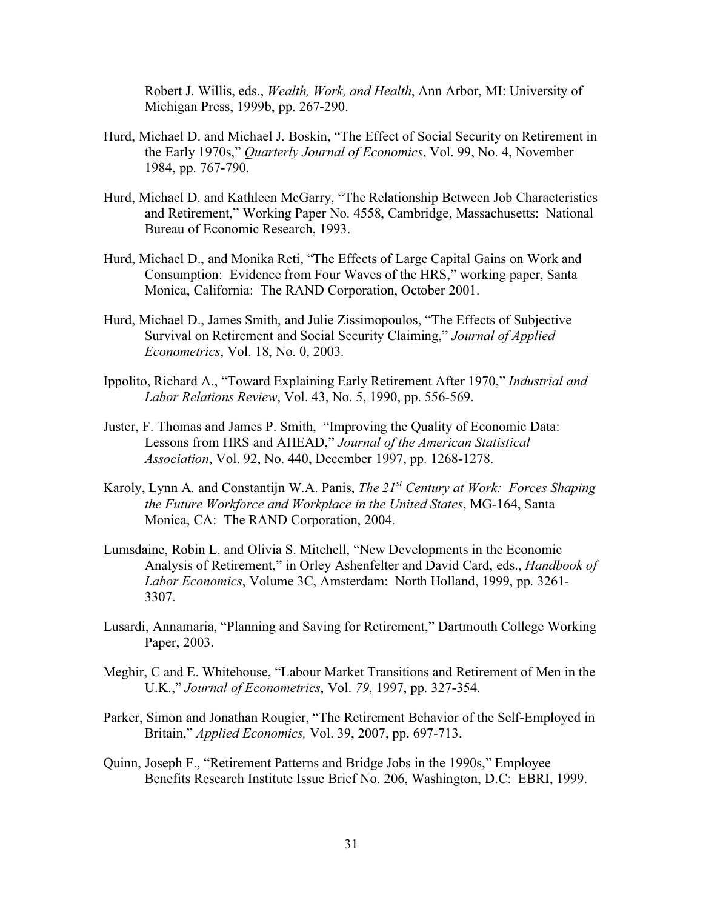Robert J. Willis, eds., *Wealth, Work, and Health*, Ann Arbor, MI: University of Michigan Press, 1999b, pp. 267-290.

- Hurd, Michael D. and Michael J. Boskin, "The Effect of Social Security on Retirement in the Early 1970s," *Quarterly Journal of Economics*, Vol. 99, No. 4, November 1984, pp. 767-790.
- Hurd, Michael D. and Kathleen McGarry, "The Relationship Between Job Characteristics and Retirement," Working Paper No. 4558, Cambridge, Massachusetts: National Bureau of Economic Research, 1993.
- Hurd, Michael D., and Monika Reti, "The Effects of Large Capital Gains on Work and Consumption: Evidence from Four Waves of the HRS," working paper, Santa Monica, California: The RAND Corporation, October 2001.
- Hurd, Michael D., James Smith, and Julie Zissimopoulos, "The Effects of Subjective Survival on Retirement and Social Security Claiming," *Journal of Applied Econometrics*, Vol. 18, No. 0, 2003.
- Ippolito, Richard A., "Toward Explaining Early Retirement After 1970," *Industrial and Labor Relations Review*, Vol. 43, No. 5, 1990, pp. 556-569.
- Juster, F. Thomas and James P. Smith, "Improving the Quality of Economic Data: Lessons from HRS and AHEAD," *Journal of the American Statistical Association*, Vol. 92, No. 440, December 1997, pp. 1268-1278.
- Karoly, Lynn A. and Constantijn W.A. Panis, *The 21st Century at Work: Forces Shaping the Future Workforce and Workplace in the United States*, MG-164, Santa Monica, CA: The RAND Corporation, 2004.
- Lumsdaine, Robin L. and Olivia S. Mitchell, "New Developments in the Economic Analysis of Retirement," in Orley Ashenfelter and David Card, eds., *Handbook of Labor Economics*, Volume 3C, Amsterdam: North Holland, 1999, pp. 3261- 3307.
- Lusardi, Annamaria, "Planning and Saving for Retirement," Dartmouth College Working Paper, 2003.
- Meghir, C and E. Whitehouse, "Labour Market Transitions and Retirement of Men in the U.K.," *Journal of Econometrics*, Vol. *79*, 1997, pp. 327-354.
- Parker, Simon and Jonathan Rougier, "The Retirement Behavior of the Self-Employed in Britain," *Applied Economics,* Vol. 39, 2007, pp. 697-713.
- Quinn, Joseph F., "Retirement Patterns and Bridge Jobs in the 1990s," Employee Benefits Research Institute Issue Brief No. 206, Washington, D.C: EBRI, 1999.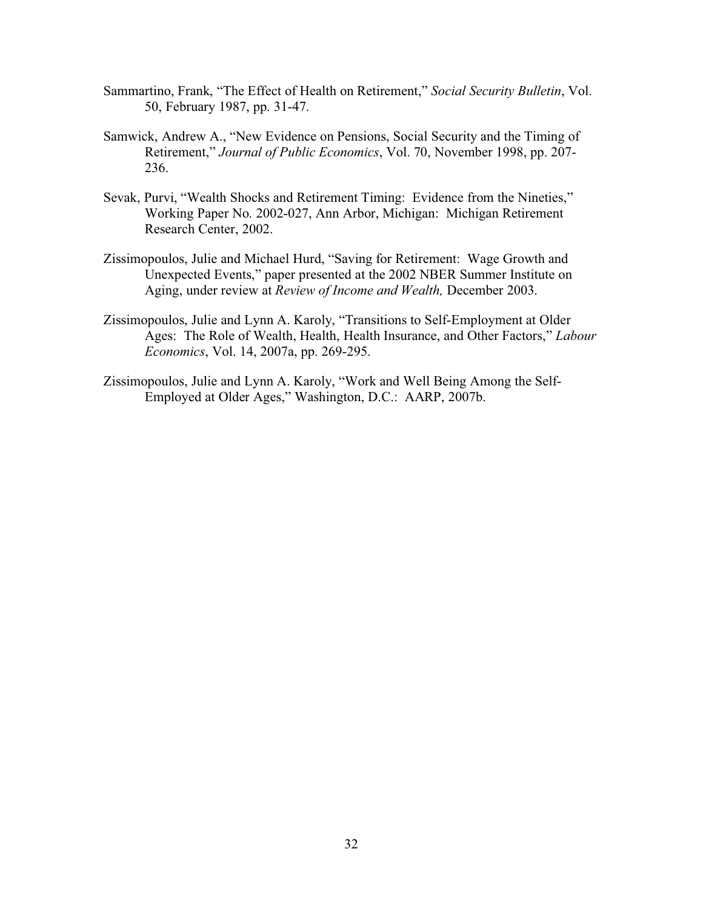- Sammartino, Frank, "The Effect of Health on Retirement," *Social Security Bulletin*, Vol. 50, February 1987, pp. 31-47.
- Samwick, Andrew A., "New Evidence on Pensions, Social Security and the Timing of Retirement," *Journal of Public Economics*, Vol. 70, November 1998, pp. 207- 236.
- Sevak, Purvi, "Wealth Shocks and Retirement Timing: Evidence from the Nineties," Working Paper No. 2002-027, Ann Arbor, Michigan: Michigan Retirement Research Center, 2002.
- Zissimopoulos, Julie and Michael Hurd, "Saving for Retirement: Wage Growth and Unexpected Events," paper presented at the 2002 NBER Summer Institute on Aging, under review at *Review of Income and Wealth,* December 2003.
- Zissimopoulos, Julie and Lynn A. Karoly, "Transitions to Self-Employment at Older Ages: The Role of Wealth, Health, Health Insurance, and Other Factors," *Labour Economics*, Vol. 14, 2007a, pp. 269-295.
- Zissimopoulos, Julie and Lynn A. Karoly, "Work and Well Being Among the Self-Employed at Older Ages," Washington, D.C.: AARP, 2007b.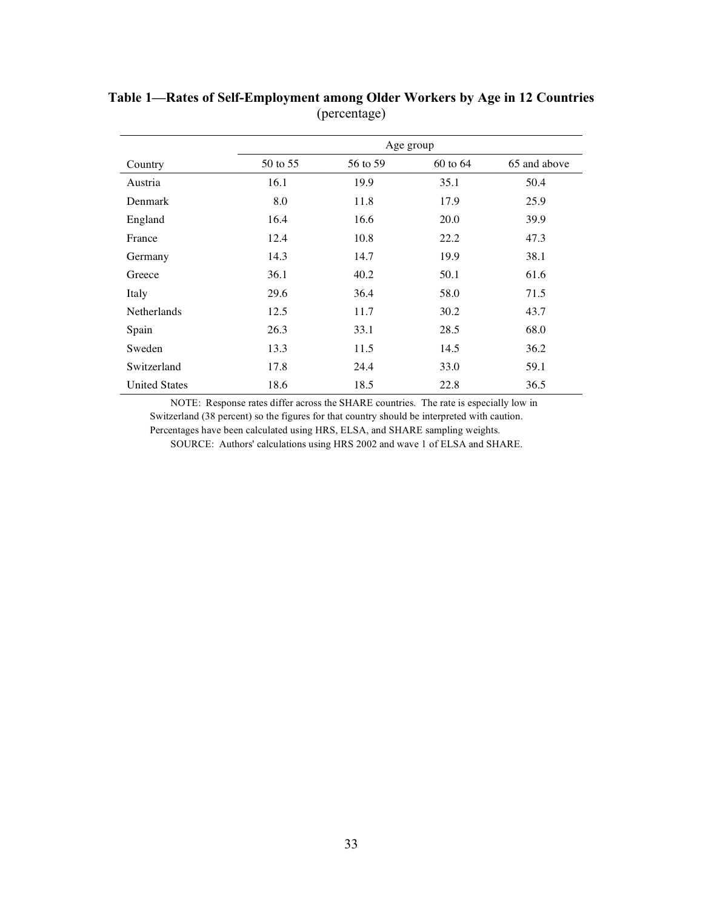|                      | Age group |          |          |              |  |  |
|----------------------|-----------|----------|----------|--------------|--|--|
| Country              | 50 to 55  | 56 to 59 | 60 to 64 | 65 and above |  |  |
| Austria              | 16.1      | 19.9     | 35.1     | 50.4         |  |  |
| Denmark              | 8.0       | 11.8     | 17.9     | 25.9         |  |  |
| England              | 16.4      | 16.6     | 20.0     | 39.9         |  |  |
| France               | 12.4      | 10.8     | 22.2     | 47.3         |  |  |
| Germany              | 14.3      | 14.7     | 19.9     | 38.1         |  |  |
| Greece               | 36.1      | 40.2     | 50.1     | 61.6         |  |  |
| Italy                | 29.6      | 36.4     | 58.0     | 71.5         |  |  |
| <b>Netherlands</b>   | 12.5      | 11.7     | 30.2     | 43.7         |  |  |
| Spain                | 26.3      | 33.1     | 28.5     | 68.0         |  |  |
| Sweden               | 13.3      | 11.5     | 14.5     | 36.2         |  |  |
| Switzerland          | 17.8      | 24.4     | 33.0     | 59.1         |  |  |
| <b>United States</b> | 18.6      | 18.5     | 22.8     | 36.5         |  |  |

**Table 1—Rates of Self-Employment among Older Workers by Age in 12 Countries** (percentage)

NOTE: Response rates differ across the SHARE countries. The rate is especially low in Switzerland (38 percent) so the figures for that country should be interpreted with caution. Percentages have been calculated using HRS, ELSA, and SHARE sampling weights. SOURCE: Authors' calculations using HRS 2002 and wave 1 of ELSA and SHARE.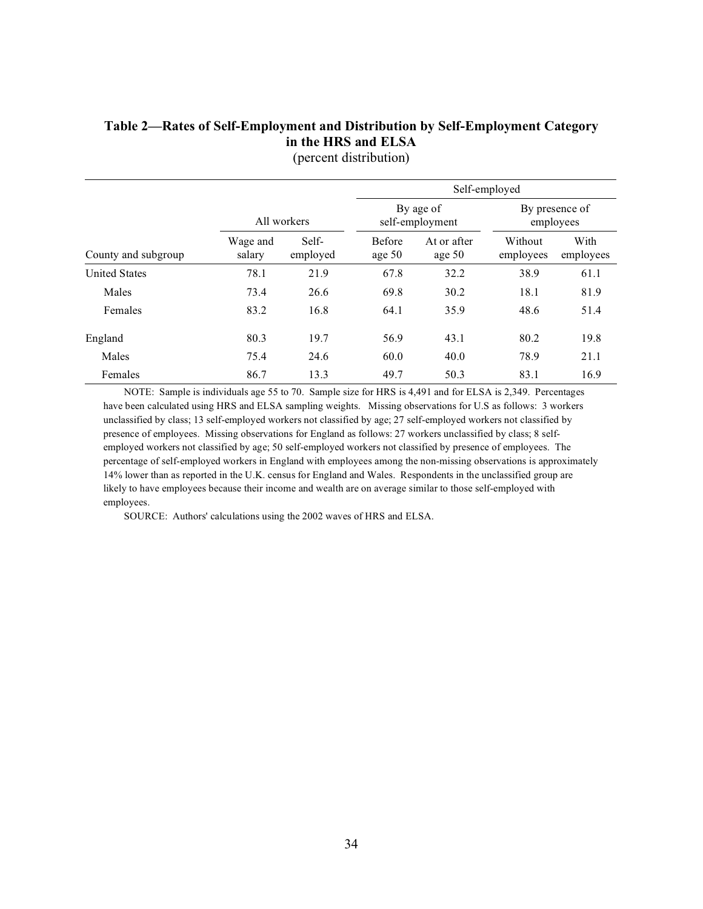|                      |                    | All workers       |                           | By age of<br>self-employment | By presence of<br>employees |                   |
|----------------------|--------------------|-------------------|---------------------------|------------------------------|-----------------------------|-------------------|
| County and subgroup  | Wage and<br>salary | Self-<br>employed | <b>Before</b><br>age $50$ | At or after<br>age $50$      | Without<br>employees        | With<br>employees |
| <b>United States</b> | 78.1               | 21.9              | 67.8                      | 32.2                         | 38.9                        | 61.1              |
| Males                | 73.4               | 26.6              | 69.8                      | 30.2                         | 18.1                        | 81.9              |
| Females              | 83.2               | 16.8              | 64.1                      | 35.9                         | 48.6                        | 51.4              |
| England              | 80.3               | 19.7              | 56.9                      | 43.1                         | 80.2                        | 19.8              |
| Males                | 75.4               | 24.6              | 60.0                      | 40.0                         | 78.9                        | 21.1              |
| Females              | 86.7               | 13.3              | 49.7                      | 50.3                         | 83.1                        | 16.9              |

# **Table 2—Rates of Self-Employment and Distribution by Self-Employment Category in the HRS and ELSA**

(percent distribution)

NOTE: Sample is individuals age 55 to 70. Sample size for HRS is 4,491 and for ELSA is 2,349. Percentages have been calculated using HRS and ELSA sampling weights. Missing observations for U.S as follows: 3 workers unclassified by class; 13 self-employed workers not classified by age; 27 self-employed workers not classified by presence of employees. Missing observations for England as follows: 27 workers unclassified by class; 8 selfemployed workers not classified by age; 50 self-employed workers not classified by presence of employees. The percentage of self-employed workers in England with employees among the non-missing observations is approximately 14% lower than as reported in the U.K. census for England and Wales. Respondents in the unclassified group are likely to have employees because their income and wealth are on average similar to those self-employed with employees.

SOURCE: Authors' calculations using the 2002 waves of HRS and ELSA.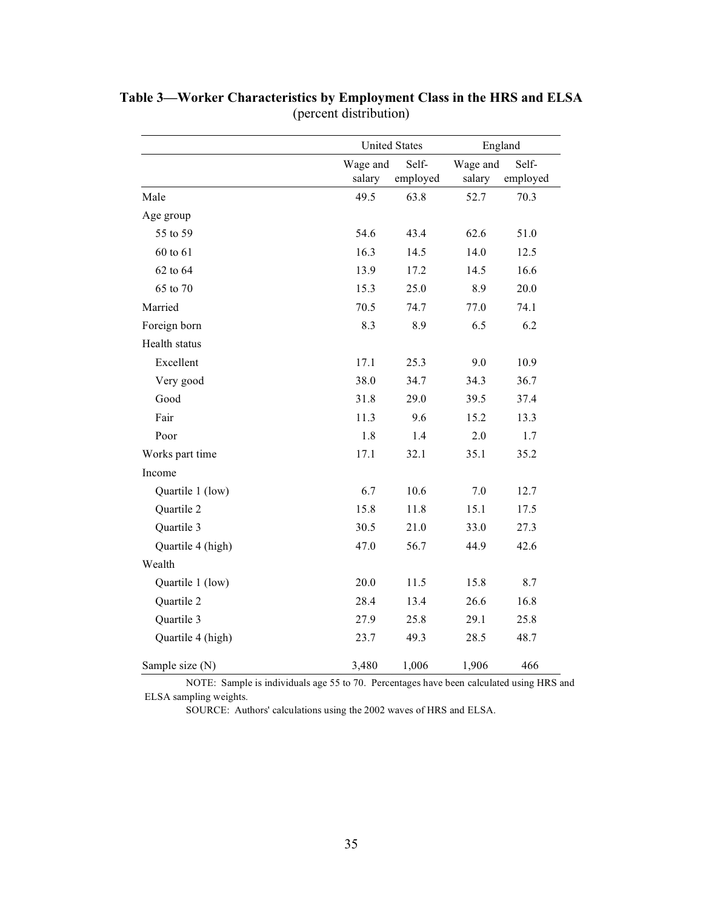|                   |                    | <b>United States</b> |                    | England           |
|-------------------|--------------------|----------------------|--------------------|-------------------|
|                   | Wage and<br>salary | Self-<br>employed    | Wage and<br>salary | Self-<br>employed |
| Male              | 49.5               | 63.8                 | 52.7               | 70.3              |
| Age group         |                    |                      |                    |                   |
| 55 to 59          | 54.6               | 43.4                 | 62.6               | 51.0              |
| 60 to 61          | 16.3               | 14.5                 | 14.0               | 12.5              |
| 62 to 64          | 13.9               | 17.2                 | 14.5               | 16.6              |
| 65 to 70          | 15.3               | 25.0                 | 8.9                | 20.0              |
| Married           | 70.5               | 74.7                 | 77.0               | 74.1              |
| Foreign born      | 8.3                | 8.9                  | 6.5                | 6.2               |
| Health status     |                    |                      |                    |                   |
| Excellent         | 17.1               | 25.3                 | 9.0                | 10.9              |
| Very good         | 38.0               | 34.7                 | 34.3               | 36.7              |
| Good              | 31.8               | 29.0                 | 39.5               | 37.4              |
| Fair              | 11.3               | 9.6                  | 15.2               | 13.3              |
| Poor              | 1.8                | 1.4                  | 2.0                | 1.7               |
| Works part time   | 17.1               | 32.1                 | 35.1               | 35.2              |
| Income            |                    |                      |                    |                   |
| Quartile 1 (low)  | 6.7                | 10.6                 | 7.0                | 12.7              |
| Quartile 2        | 15.8               | 11.8                 | 15.1               | 17.5              |
| Quartile 3        | 30.5               | 21.0                 | 33.0               | 27.3              |
| Quartile 4 (high) | 47.0               | 56.7                 | 44.9               | 42.6              |
| Wealth            |                    |                      |                    |                   |
| Quartile 1 (low)  | 20.0               | 11.5                 | 15.8               | 8.7               |
| Quartile 2        | 28.4               | 13.4                 | 26.6               | 16.8              |
| Quartile 3        | 27.9               | 25.8                 | 29.1               | 25.8              |
| Quartile 4 (high) | 23.7               | 49.3                 | 28.5               | 48.7              |
| Sample size (N)   | 3,480              | 1,006                | 1,906              | 466               |

**Table 3—Worker Characteristics by Employment Class in the HRS and ELSA** (percent distribution)

NOTE: Sample is individuals age 55 to 70. Percentages have been calculated using HRS and ELSA sampling weights.

SOURCE: Authors' calculations using the 2002 waves of HRS and ELSA.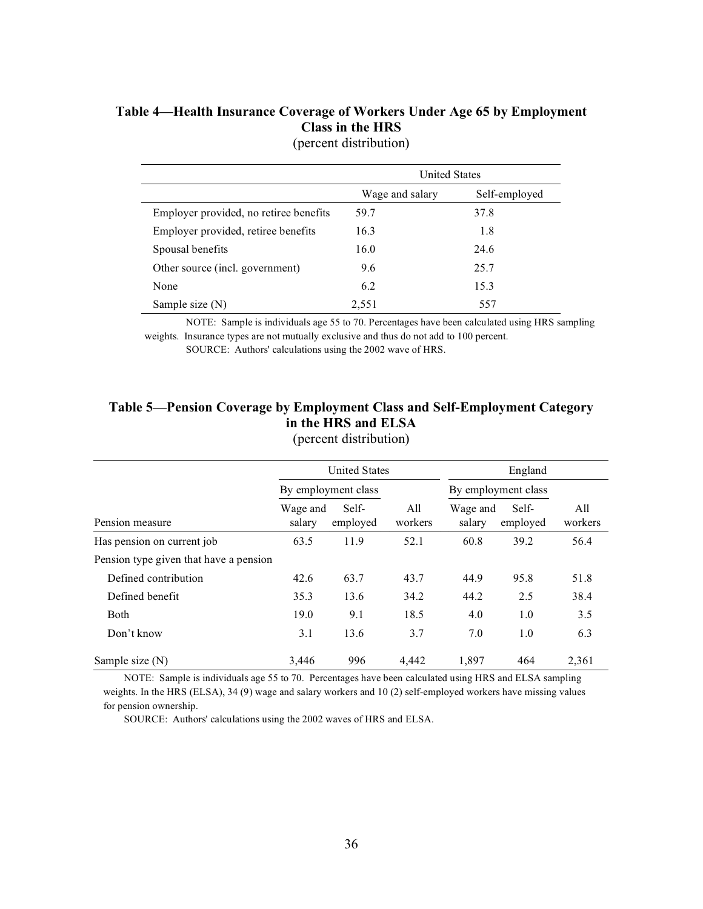# **Table 4—Health Insurance Coverage of Workers Under Age 65 by Employment Class in the HRS**

|                                        | <b>United States</b> |               |  |  |
|----------------------------------------|----------------------|---------------|--|--|
|                                        | Wage and salary      | Self-employed |  |  |
| Employer provided, no retiree benefits | 59.7                 | 37.8          |  |  |
| Employer provided, retiree benefits    | 16.3                 | 1.8           |  |  |
| Spousal benefits                       | 16.0                 | 24.6          |  |  |
| Other source (incl. government)        | 9.6                  | 25.7          |  |  |
| None                                   | 6.2                  | 15.3          |  |  |
| Sample size $(N)$                      | 2.551                | 557           |  |  |

(percent distribution)

NOTE: Sample is individuals age 55 to 70. Percentages have been calculated using HRS sampling weights. Insurance types are not mutually exclusive and thus do not add to 100 percent. SOURCE: Authors' calculations using the 2002 wave of HRS.

## **Table 5—Pension Coverage by Employment Class and Self-Employment Category in the HRS and ELSA**

(percent distribution)

|                                        |                     | <b>United States</b> |                | England             |                   |                |  |
|----------------------------------------|---------------------|----------------------|----------------|---------------------|-------------------|----------------|--|
|                                        | By employment class |                      |                | By employment class |                   |                |  |
| Pension measure                        | Wage and<br>salary  | Self-<br>employed    | All<br>workers | Wage and<br>salary  | Self-<br>employed | A11<br>workers |  |
| Has pension on current job             | 63.5                | 11.9                 | 52.1           | 60.8                | 39.2              | 56.4           |  |
| Pension type given that have a pension |                     |                      |                |                     |                   |                |  |
| Defined contribution                   | 42.6                | 63.7                 | 43.7           | 44.9                | 95.8              | 51.8           |  |
| Defined benefit                        | 35.3                | 13.6                 | 34.2           | 44.2                | 2.5               | 38.4           |  |
| <b>Both</b>                            | 19.0                | 9.1                  | 18.5           | 4.0                 | 1.0               | 3.5            |  |
| Don't know                             | 3.1                 | 13.6                 | 3.7            | 7.0                 | 1.0               | 6.3            |  |
| Sample size $(N)$                      | 3.446               | 996                  | 4.442          | 1.897               | 464               | 2,361          |  |

NOTE: Sample is individuals age 55 to 70. Percentages have been calculated using HRS and ELSA sampling weights. In the HRS (ELSA), 34 (9) wage and salary workers and 10 (2) self-employed workers have missing values for pension ownership.

SOURCE: Authors' calculations using the 2002 waves of HRS and ELSA.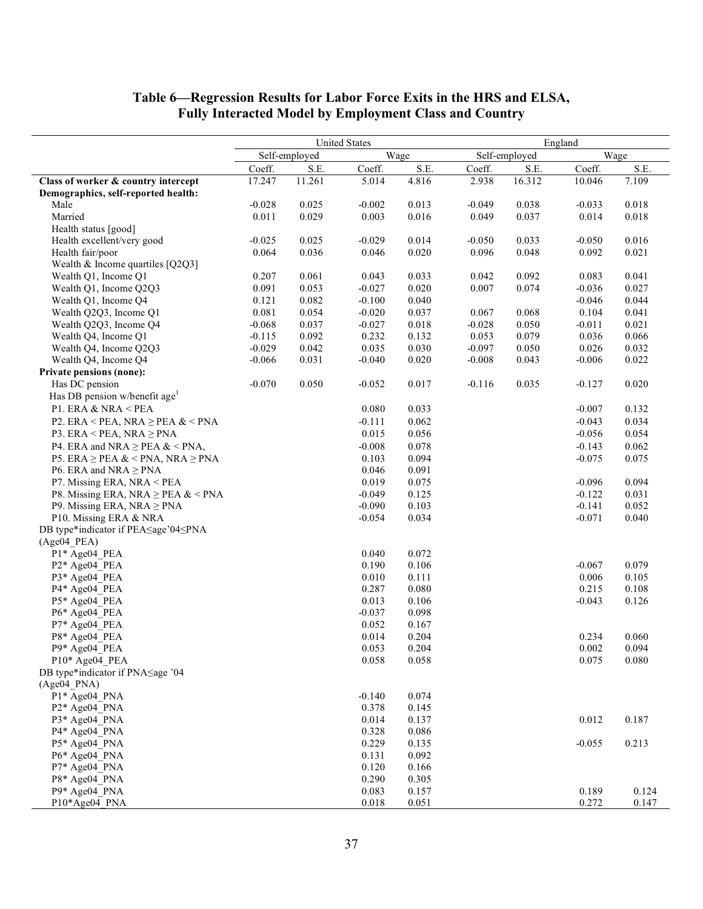#### **Table 6—Regression Results for Labor Force Exits in the HRS and ELSA, Fully Interacted Model by Employment Class and Country**

|                                               | <b>United States</b>  |        |          | England       |          |        |          |       |
|-----------------------------------------------|-----------------------|--------|----------|---------------|----------|--------|----------|-------|
|                                               | Self-employed<br>Wage |        |          | Self-employed |          | Wage   |          |       |
|                                               | Coeff.                | S.E.   | Coeff.   | S.E.          | Coeff.   | S.E.   | Coeff.   | S.E.  |
| Class of worker & country intercept           | 17.247                | 11.261 | 5.014    | 4.816         | 2.938    | 16.312 | 10.046   | 7.109 |
| Demographics, self-reported health:           |                       |        |          |               |          |        |          |       |
| Male                                          | $-0.028$              | 0.025  | $-0.002$ | 0.013         | $-0.049$ | 0.038  | $-0.033$ | 0.018 |
| Married                                       | 0.011                 | 0.029  | 0.003    | 0.016         | 0.049    | 0.037  | 0.014    | 0.018 |
| Health status [good]                          |                       |        |          |               |          |        |          |       |
| Health excellent/very good                    | $-0.025$              | 0.025  | $-0.029$ | 0.014         | $-0.050$ | 0.033  | $-0.050$ | 0.016 |
| Health fair/poor                              | 0.064                 | 0.036  | 0.046    | 0.020         | 0.096    | 0.048  | 0.092    | 0.021 |
| Wealth & Income quartiles [Q2Q3]              |                       |        |          |               |          |        |          |       |
| Wealth Q1, Income Q1                          | 0.207                 | 0.061  | 0.043    | 0.033         | 0.042    | 0.092  | 0.083    | 0.041 |
| Wealth Q1, Income Q2Q3                        | 0.091                 | 0.053  | $-0.027$ | 0.020         | 0.007    | 0.074  | $-0.036$ | 0.027 |
| Wealth Q1, Income Q4                          | 0.121                 | 0.082  | $-0.100$ | 0.040         |          |        | $-0.046$ | 0.044 |
| Wealth Q2Q3, Income Q1                        | 0.081                 | 0.054  | $-0.020$ | 0.037         | 0.067    | 0.068  | 0.104    | 0.041 |
| Wealth Q2Q3, Income Q4                        | $-0.068$              | 0.037  | $-0.027$ | 0.018         | $-0.028$ | 0.050  | $-0.011$ | 0.021 |
| Wealth Q4, Income Q1                          | $-0.115$              | 0.092  | 0.232    | 0.132         | 0.053    | 0.079  | 0.036    | 0.066 |
| Wealth Q4, Income Q2Q3                        | $-0.029$              | 0.042  | 0.035    | 0.030         | $-0.097$ | 0.050  | 0.026    | 0.032 |
| Wealth Q4, Income Q4                          | $-0.066$              | 0.031  | $-0.040$ | 0.020         | $-0.008$ | 0.043  | $-0.006$ | 0.022 |
| Private pensions (none):                      |                       |        |          |               |          |        |          |       |
| Has DC pension                                | $-0.070$              | 0.050  | $-0.052$ | 0.017         | $-0.116$ | 0.035  | $-0.127$ | 0.020 |
| Has DB pension w/benefit age <sup>1</sup>     |                       |        |          |               |          |        |          |       |
| P1. ERA & NRA < PEA                           |                       |        | 0.080    | 0.033         |          |        | $-0.007$ | 0.132 |
| P2. ERA < PEA, NRA $\geq$ PEA & < PNA         |                       |        | $-0.111$ | 0.062         |          |        | $-0.043$ | 0.034 |
| P3. ERA < PEA, NRA $\geq$ PNA                 |                       |        | 0.015    | 0.056         |          |        | $-0.056$ | 0.054 |
| P4. ERA and NRA $\geq$ PEA & < PNA,           |                       |        | $-0.008$ | 0.078         |          |        | $-0.143$ | 0.062 |
| P5. ERA $\geq$ PEA $\&$ < PNA, NRA $\geq$ PNA |                       |        | 0.103    | 0.094         |          |        | $-0.075$ | 0.075 |
| P6. ERA and NRA $\geq$ PNA                    |                       |        | 0.046    | 0.091         |          |        |          |       |
| P7. Missing ERA, NRA < PEA                    |                       |        | 0.019    | 0.075         |          |        | $-0.096$ | 0.094 |
| P8. Missing ERA, NRA $\geq$ PEA & < PNA       |                       |        | $-0.049$ | 0.125         |          |        | $-0.122$ | 0.031 |
| P9. Missing ERA, NRA $\geq$ PNA               |                       |        | $-0.090$ | 0.103         |          |        | $-0.141$ | 0.052 |
| P10. Missing ERA & NRA                        |                       |        | $-0.054$ | 0.034         |          |        | $-0.071$ | 0.040 |
| DB type*indicator if PEA≤age'04≤PNA           |                       |        |          |               |          |        |          |       |
| $(Age04$ PEA)                                 |                       |        |          |               |          |        |          |       |
| P1* Age04 PEA                                 |                       |        | 0.040    | 0.072         |          |        |          |       |
| P2* Age04 PEA                                 |                       |        | 0.190    | 0.106         |          |        | $-0.067$ | 0.079 |
| P3* Age04 PEA                                 |                       |        | 0.010    | 0.111         |          |        | 0.006    | 0.105 |
| P4* Age04 PEA                                 |                       |        | 0.287    | 0.080         |          |        | 0.215    | 0.108 |
| P5* Age04 PEA                                 |                       |        | 0.013    | 0.106         |          |        | $-0.043$ | 0.126 |
| P6* Age04 PEA                                 |                       |        | $-0.037$ | 0.098         |          |        |          |       |
| P7* Age04 PEA                                 |                       |        | 0.052    | 0.167         |          |        |          |       |
| P8* Age04 PEA                                 |                       |        | 0.014    | 0.204         |          |        | 0.234    | 0.060 |
| P9* Age04 PEA                                 |                       |        | 0.053    | 0.204         |          |        | 0.002    | 0.094 |
| P10* Age04 PEA                                |                       |        | 0.058    | 0.058         |          |        | 0.075    | 0.080 |
| DB type*indicator if PNA≤age '04              |                       |        |          |               |          |        |          |       |
| $(Age04$ PNA)                                 |                       |        |          |               |          |        |          |       |
| P1* Age04 PNA                                 |                       |        | $-0.140$ | 0.074         |          |        |          |       |
| P2* Age04 PNA                                 |                       |        | 0.378    | 0.145         |          |        |          |       |
| P3* Age04 PNA                                 |                       |        | 0.014    | 0.137         |          |        | 0.012    | 0.187 |
| P4* Age04 PNA                                 |                       |        | 0.328    | 0.086         |          |        |          |       |
| P5* Age04 PNA                                 |                       |        | 0.229    | 0.135         |          |        | $-0.055$ | 0.213 |
| P6* Age04 PNA                                 |                       |        | 0.131    | 0.092         |          |        |          |       |
| P7* Age04 PNA                                 |                       |        | 0.120    | 0.166         |          |        |          |       |
| P8* Age04 PNA                                 |                       |        | 0.290    | 0.305         |          |        |          |       |
| P9* Age04 PNA                                 |                       |        | 0.083    | 0.157         |          |        | 0.189    | 0.124 |
| P10*Age04 PNA                                 |                       |        | 0.018    | 0.051         |          |        | 0.272    | 0.147 |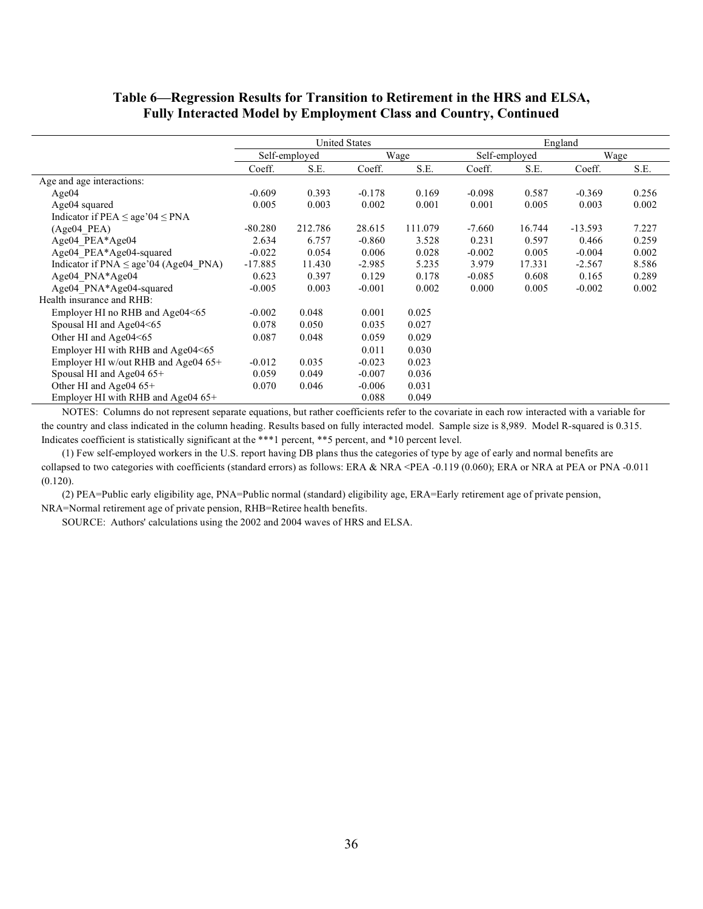#### **Table 6—Regression Results for Transition to Retirement in the HRS and ELSA, Fully Interacted Model by Employment Class and Country, Continued**

|                                            | <b>United States</b> |         |          | England |               |        |           |       |
|--------------------------------------------|----------------------|---------|----------|---------|---------------|--------|-----------|-------|
|                                            | Self-employed        |         | Wage     |         | Self-employed |        | Wage      |       |
|                                            | Coeff.               | S.E.    | Coeff.   | S.E.    | Coeff.        | S.E.   | Coeff.    | S.E.  |
| Age and age interactions:                  |                      |         |          |         |               |        |           |       |
| Age04                                      | $-0.609$             | 0.393   | $-0.178$ | 0.169   | $-0.098$      | 0.587  | $-0.369$  | 0.256 |
| Age04 squared                              | 0.005                | 0.003   | 0.002    | 0.001   | 0.001         | 0.005  | 0.003     | 0.002 |
| Indicator if $PEA \leq age'04 \leq PNA$    |                      |         |          |         |               |        |           |       |
| $(Age04$ PEA)                              | $-80.280$            | 212.786 | 28.615   | 111.079 | $-7.660$      | 16.744 | $-13.593$ | 7.227 |
| Age04 PEA $*$ Age04                        | 2.634                | 6.757   | $-0.860$ | 3.528   | 0.231         | 0.597  | 0.466     | 0.259 |
| Age04 PEA*Age04-squared                    | $-0.022$             | 0.054   | 0.006    | 0.028   | $-0.002$      | 0.005  | $-0.004$  | 0.002 |
| Indicator if $PNA \leq age'04$ (Age04 PNA) | $-17.885$            | 11.430  | $-2.985$ | 5.235   | 3.979         | 17.331 | $-2.567$  | 8.586 |
| Age04 PNA*Age04                            | 0.623                | 0.397   | 0.129    | 0.178   | $-0.085$      | 0.608  | 0.165     | 0.289 |
| Age04 PNA*Age04-squared                    | $-0.005$             | 0.003   | $-0.001$ | 0.002   | 0.000         | 0.005  | $-0.002$  | 0.002 |
| Health insurance and RHB:                  |                      |         |          |         |               |        |           |       |
| Employer HI no RHB and Age04<65            | $-0.002$             | 0.048   | 0.001    | 0.025   |               |        |           |       |
| Spousal HI and Age04<65                    | 0.078                | 0.050   | 0.035    | 0.027   |               |        |           |       |
| Other HI and Age04<65                      | 0.087                | 0.048   | 0.059    | 0.029   |               |        |           |       |
| Employer HI with RHB and Age04<65          |                      |         | 0.011    | 0.030   |               |        |           |       |
| Employer HI w/out RHB and Age04 65+        | $-0.012$             | 0.035   | $-0.023$ | 0.023   |               |        |           |       |
| Spousal HI and Age04 65+                   | 0.059                | 0.049   | $-0.007$ | 0.036   |               |        |           |       |
| Other HI and Age04 65+                     | 0.070                | 0.046   | $-0.006$ | 0.031   |               |        |           |       |
| Employer HI with RHB and Age04 $65+$       |                      |         | 0.088    | 0.049   |               |        |           |       |

NOTES: Columns do not represent separate equations, but rather coefficients refer to the covariate in each row interacted with a variable for the country and class indicated in the column heading. Results based on fully interacted model. Sample size is 8,989. Model R-squared is 0.315. Indicates coefficient is statistically significant at the \*\*\*1 percent, \*\*5 percent, and \*10 percent level.

(1) Few self-employed workers in the U.S. report having DB plans thus the categories of type by age of early and normal benefits are collapsed to two categories with coefficients (standard errors) as follows: ERA & NRA <PEA -0.119 (0.060); ERA or NRA at PEA or PNA -0.011 (0.120).

(2) PEA=Public early eligibility age, PNA=Public normal (standard) eligibility age, ERA=Early retirement age of private pension,

NRA=Normal retirement age of private pension, RHB=Retiree health benefits.

SOURCE: Authors' calculations using the 2002 and 2004 waves of HRS and ELSA.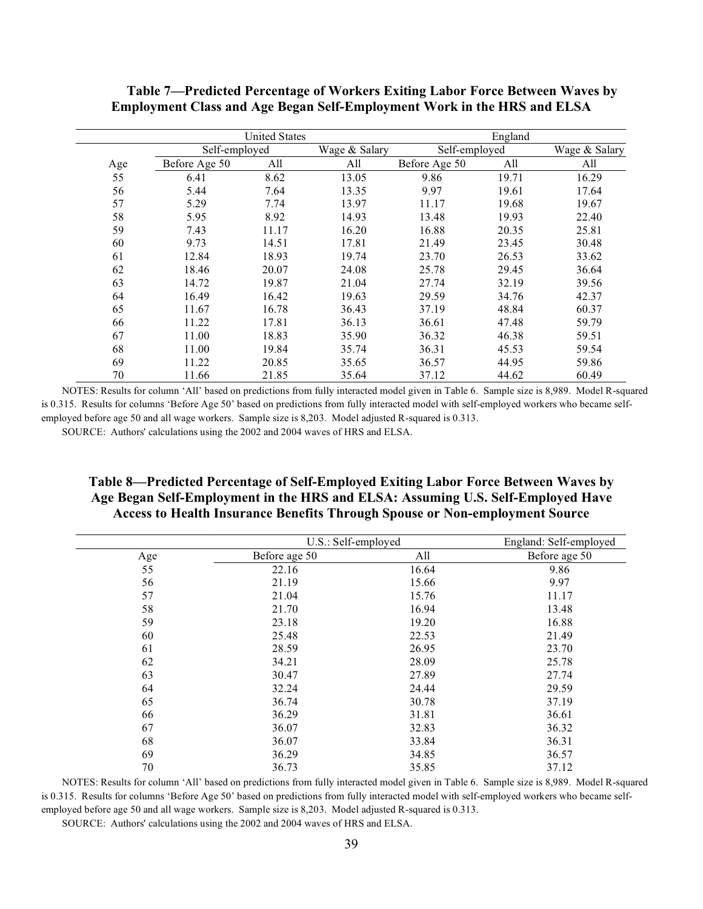#### **Table 7—Predicted Percentage of Workers Exiting Labor Force Between Waves by Employment Class and Age Began Self-Employment Work in the HRS and ELSA**

|     |               | <b>United States</b> |               |               | England |               |
|-----|---------------|----------------------|---------------|---------------|---------|---------------|
|     | Self-employed |                      | Wage & Salary | Self-employed |         | Wage & Salary |
| Age | Before Age 50 | All                  | All           | Before Age 50 | All     | All           |
| 55  | 6.41          | 8.62                 | 13.05         | 9.86          | 19.71   | 16.29         |
| 56  | 5.44          | 7.64                 | 13.35         | 9.97          | 19.61   | 17.64         |
| 57  | 5.29          | 7.74                 | 13.97         | 11.17         | 19.68   | 19.67         |
| 58  | 5.95          | 8.92                 | 14.93         | 13.48         | 19.93   | 22.40         |
| 59  | 7.43          | 11.17                | 16.20         | 16.88         | 20.35   | 25.81         |
| 60  | 9.73          | 14.51                | 17.81         | 21.49         | 23.45   | 30.48         |
| 61  | 12.84         | 18.93                | 19.74         | 23.70         | 26.53   | 33.62         |
| 62  | 18.46         | 20.07                | 24.08         | 25.78         | 29.45   | 36.64         |
| 63  | 14.72         | 19.87                | 21.04         | 27.74         | 32.19   | 39.56         |
| 64  | 16.49         | 16.42                | 19.63         | 29.59         | 34.76   | 42.37         |
| 65  | 11.67         | 16.78                | 36.43         | 37.19         | 48.84   | 60.37         |
| 66  | 11.22         | 17.81                | 36.13         | 36.61         | 47.48   | 59.79         |
| 67  | 11.00         | 18.83                | 35.90         | 36.32         | 46.38   | 59.51         |
| 68  | 11.00         | 19.84                | 35.74         | 36.31         | 45.53   | 59.54         |
| 69  | 11.22         | 20.85                | 35.65         | 36.57         | 44.95   | 59.86         |
| 70  | 11.66         | 21.85                | 35.64         | 37.12         | 44.62   | 60.49         |

NOTES: Results for column 'All' based on predictions from fully interacted model given in Table 6. Sample size is 8,989. Model R-squared is 0.315. Results for columns 'Before Age 50' based on predictions from fully interacted model with self-employed workers who became selfemployed before age 50 and all wage workers. Sample size is 8,203. Model adjusted R-squared is 0.313.

SOURCE: Authors' calculations using the 2002 and 2004 waves of HRS and ELSA.

### **Table 8—Predicted Percentage of Self-Employed Exiting Labor Force Between Waves by Age Began Self-Employment in the HRS and ELSA: Assuming U.S. Self-Employed Have Access to Health Insurance Benefits Through Spouse or Non-employment Source**

|     |               | U.S.: Self-employed |               |  |  |  |
|-----|---------------|---------------------|---------------|--|--|--|
| Age | Before age 50 | All                 | Before age 50 |  |  |  |
| 55  | 22.16         | 16.64               | 9.86          |  |  |  |
| 56  | 21.19         | 15.66               | 9.97          |  |  |  |
| 57  | 21.04         | 15.76               | 11.17         |  |  |  |
| 58  | 21.70         | 16.94               | 13.48         |  |  |  |
| 59  | 23.18         | 19.20               | 16.88         |  |  |  |
| 60  | 25.48         | 22.53               | 21.49         |  |  |  |
| 61  | 28.59         | 26.95               | 23.70         |  |  |  |
| 62  | 34.21         | 28.09               | 25.78         |  |  |  |
| 63  | 30.47         | 27.89               | 27.74         |  |  |  |
| 64  | 32.24         | 24.44               | 29.59         |  |  |  |
| 65  | 36.74         | 30.78               | 37.19         |  |  |  |
| 66  | 36.29         | 31.81               | 36.61         |  |  |  |
| 67  | 36.07         | 32.83               | 36.32         |  |  |  |
| 68  | 36.07         | 33.84               | 36.31         |  |  |  |
| 69  | 36.29         | 34.85               | 36.57         |  |  |  |
| 70  | 36.73         | 35.85               | 37.12         |  |  |  |

NOTES: Results for column 'All' based on predictions from fully interacted model given in Table 6. Sample size is 8,989. Model R-squared is 0.315. Results for columns 'Before Age 50' based on predictions from fully interacted model with self-employed workers who became selfemployed before age 50 and all wage workers. Sample size is 8,203. Model adjusted R-squared is 0.313.

SOURCE: Authors' calculations using the 2002 and 2004 waves of HRS and ELSA.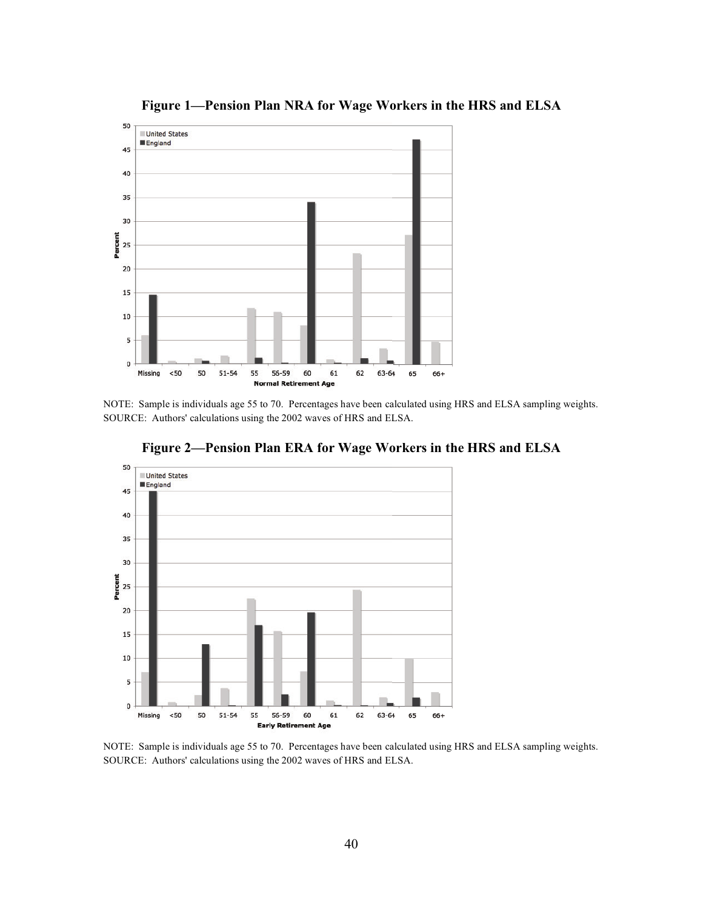

**Figure 1—Pension Plan NRA for Wage Workers in the HRS and ELSA**

NOTE: Sample is individuals age 55 to 70. Percentages have been calculated using HRS and ELSA sampling weights. SOURCE: Authors' calculations using the 2002 waves of HRS and ELSA.



**Figure 2—Pension Plan ERA for Wage Workers in the HRS and ELSA**

NOTE: Sample is individuals age 55 to 70. Percentages have been calculated using HRS and ELSA sampling weights. SOURCE: Authors' calculations using the 2002 waves of HRS and ELSA.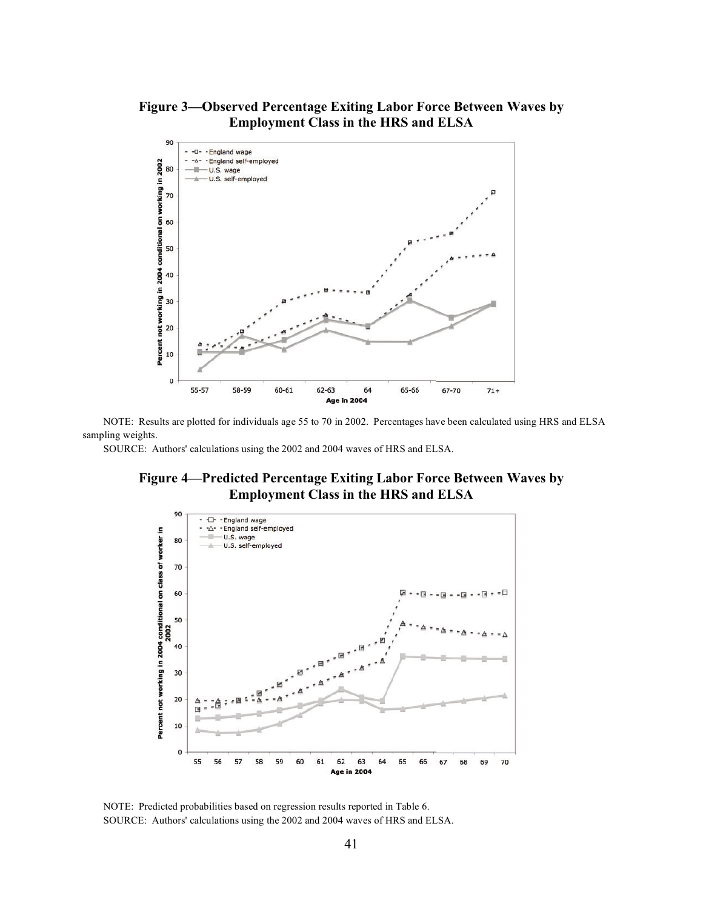#### **Figure 3—Observed Percentage Exiting Labor Force Between Waves by Employment Class in the HRS and ELSA**



NOTE: Results are plotted for individuals age 55 to 70 in 2002. Percentages have been calculated using HRS and ELSA sampling weights.

SOURCE: Authors' calculations using the 2002 and 2004 waves of HRS and ELSA.

### **Figure 4—Predicted Percentage Exiting Labor Force Between Waves by Employment Class in the HRS and ELSA**



NOTE: Predicted probabilities based on regression results reported in Table 6. SOURCE: Authors' calculations using the 2002 and 2004 waves of HRS and ELSA.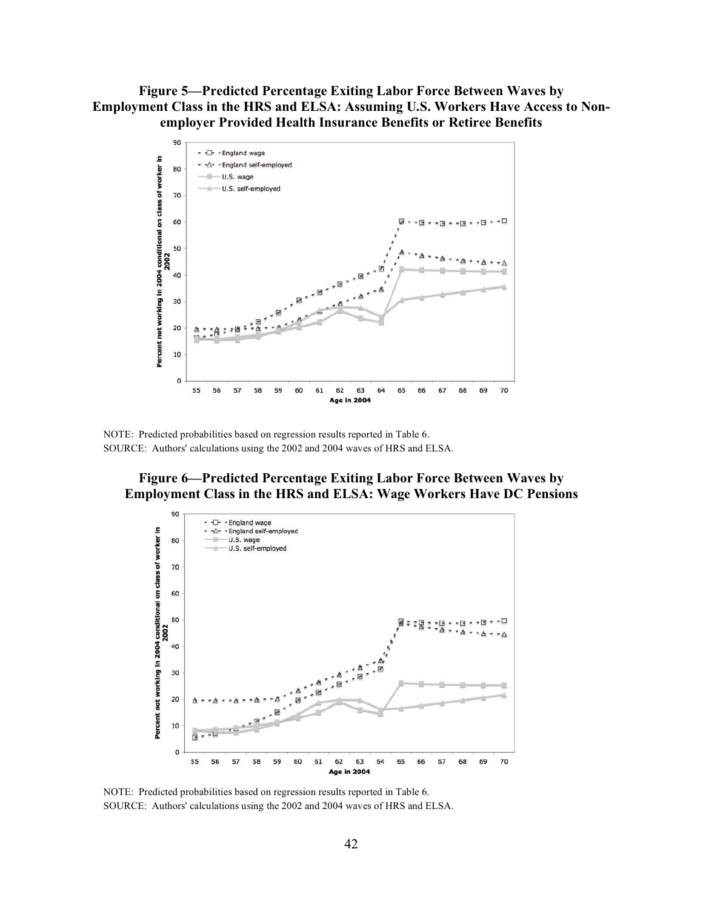**Figure 5—Predicted Percentage Exiting Labor Force Between Waves by Employment Class in the HRS and ELSA: Assuming U.S. Workers Have Access to Nonemployer Provided Health Insurance Benefits or Retiree Benefits**



NOTE: Predicted probabilities based on regression results reported in Table 6. SOURCE: Authors' calculations using the 2002 and 2004 waves of HRS and ELSA.

#### **Figure 6—Predicted Percentage Exiting Labor Force Between Waves by Employment Class in the HRS and ELSA: Wage Workers Have DC Pensions**



NOTE: Predicted probabilities based on regression results reported in Table 6. SOURCE: Authors' calculations using the 2002 and 2004 waves of HRS and ELSA.